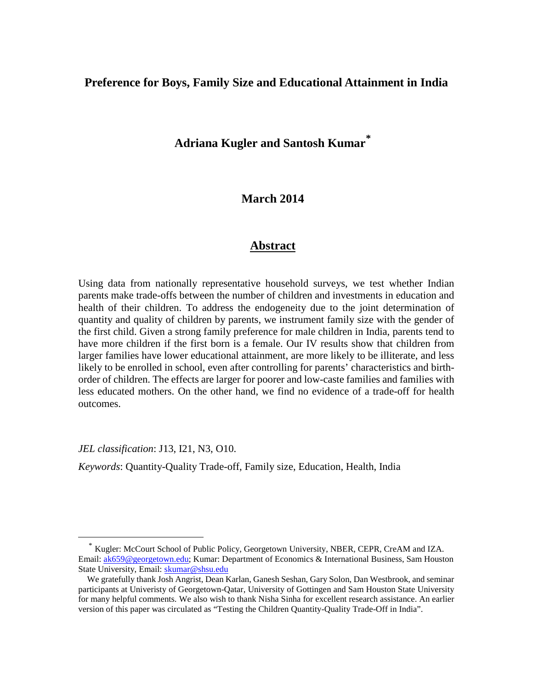# **Preference for Boys, Family Size and Educational Attainment in India**

# **Adriana Kugler and Santosh Kumar[\\*](#page-0-0)**

# **March 2014**

## **Abstract**

Using data from nationally representative household surveys, we test whether Indian parents make trade-offs between the number of children and investments in education and health of their children. To address the endogeneity due to the joint determination of quantity and quality of children by parents, we instrument family size with the gender of the first child. Given a strong family preference for male children in India, parents tend to have more children if the first born is a female. Our IV results show that children from larger families have lower educational attainment, are more likely to be illiterate, and less likely to be enrolled in school, even after controlling for parents' characteristics and birthorder of children. The effects are larger for poorer and low-caste families and families with less educated mothers. On the other hand, we find no evidence of a trade-off for health outcomes.

*JEL classification*: J13, I21, N3, O10.

 $\overline{a}$ 

*Keywords*: Quantity-Quality Trade-off, Family size, Education, Health, India

<span id="page-0-0"></span>\* Kugler: McCourt School of Public Policy, Georgetown University, NBER, CEPR, CreAM and IZA. Email: [ak659@georgetown.edu;](mailto:ak659@georgetown.edu) Kumar: Department of Economics & International Business, Sam Houston State University, Email: [skumar@shsu.edu](mailto:skumar@shsu.edu)

We gratefully thank Josh Angrist, Dean Karlan, Ganesh Seshan, Gary Solon, Dan Westbrook, and seminar participants at Univeristy of Georgetown-Qatar, University of Gottingen and Sam Houston State University for many helpful comments. We also wish to thank Nisha Sinha for excellent research assistance. An earlier version of this paper was circulated as "Testing the Children Quantity-Quality Trade-Off in India".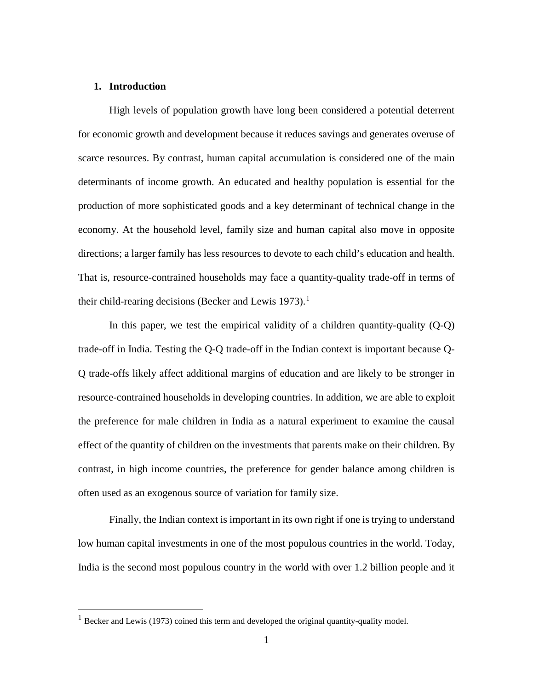#### **1. Introduction**

<u>.</u>

High levels of population growth have long been considered a potential deterrent for economic growth and development because it reduces savings and generates overuse of scarce resources. By contrast, human capital accumulation is considered one of the main determinants of income growth. An educated and healthy population is essential for the production of more sophisticated goods and a key determinant of technical change in the economy. At the household level, family size and human capital also move in opposite directions; a larger family has less resources to devote to each child's education and health. That is, resource-contrained households may face a quantity-quality trade-off in terms of their child-rearing decisions (Becker and Lewis [1](#page-1-0)973).<sup>1</sup>

In this paper, we test the empirical validity of a children quantity-quality (Q-Q) trade-off in India. Testing the Q-Q trade-off in the Indian context is important because Q-Q trade-offs likely affect additional margins of education and are likely to be stronger in resource-contrained households in developing countries. In addition, we are able to exploit the preference for male children in India as a natural experiment to examine the causal effect of the quantity of children on the investments that parents make on their children. By contrast, in high income countries, the preference for gender balance among children is often used as an exogenous source of variation for family size.

Finally, the Indian context is important in its own right if one is trying to understand low human capital investments in one of the most populous countries in the world. Today, India is the second most populous country in the world with over 1.2 billion people and it

<span id="page-1-0"></span><sup>&</sup>lt;sup>1</sup> Becker and Lewis (1973) coined this term and developed the original quantity-quality model.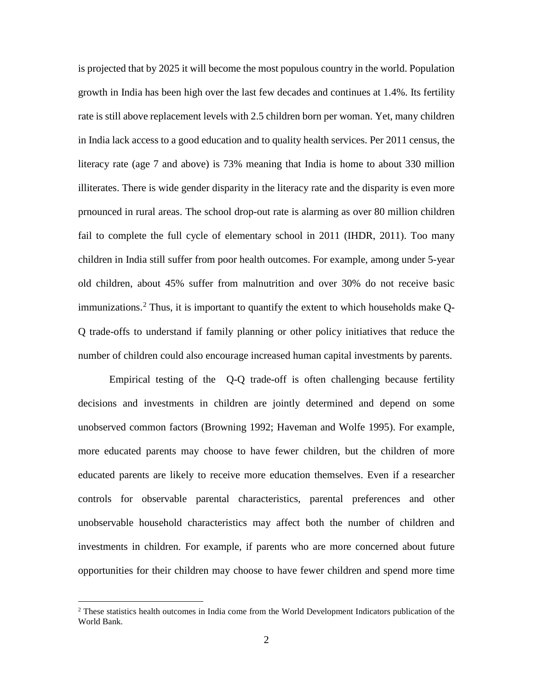is projected that by 2025 it will become the most populous country in the world. Population growth in India has been high over the last few decades and continues at 1.4%. Its fertility rate is still above replacement levels with 2.5 children born per woman. Yet, many children in India lack access to a good education and to quality health services. Per 2011 census, the literacy rate (age 7 and above) is 73% meaning that India is home to about 330 million illiterates. There is wide gender disparity in the literacy rate and the disparity is even more prnounced in rural areas. The school drop-out rate is alarming as over 80 million children fail to complete the full cycle of elementary school in 2011 (IHDR, 2011). Too many children in India still suffer from poor health outcomes. For example, among under 5-year old children, about 45% suffer from malnutrition and over 30% do not receive basic immunizations.<sup>[2](#page-2-0)</sup> Thus, it is important to quantify the extent to which households make  $Q$ -Q trade-offs to understand if family planning or other policy initiatives that reduce the number of children could also encourage increased human capital investments by parents.

Empirical testing of the Q-Q trade-off is often challenging because fertility decisions and investments in children are jointly determined and depend on some unobserved common factors (Browning 1992; Haveman and Wolfe 1995). For example, more educated parents may choose to have fewer children, but the children of more educated parents are likely to receive more education themselves. Even if a researcher controls for observable parental characteristics, parental preferences and other unobservable household characteristics may affect both the number of children and investments in children. For example, if parents who are more concerned about future opportunities for their children may choose to have fewer children and spend more time

-

<span id="page-2-0"></span> $2$  These statistics health outcomes in India come from the World Development Indicators publication of the World Bank.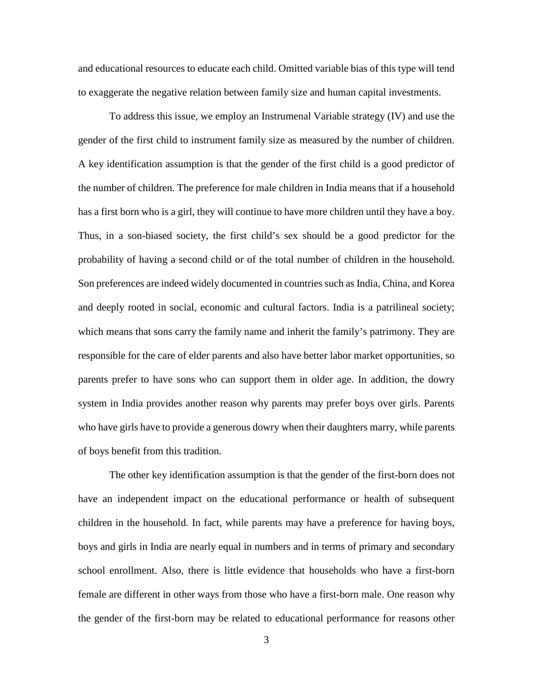and educational resources to educate each child. Omitted variable bias of this type will tend to exaggerate the negative relation between family size and human capital investments.

To address this issue, we employ an Instrumenal Variable strategy (IV) and use the gender of the first child to instrument family size as measured by the number of children. A key identification assumption is that the gender of the first child is a good predictor of the number of children. The preference for male children in India means that if a household has a first born who is a girl, they will continue to have more children until they have a boy. Thus, in a son-biased society, the first child's sex should be a good predictor for the probability of having a second child or of the total number of children in the household. Son preferences are indeed widely documented in countries such as India, China, and Korea and deeply rooted in social, economic and cultural factors. India is a patrilineal society; which means that sons carry the family name and inherit the family's patrimony. They are responsible for the care of elder parents and also have better labor market opportunities, so parents prefer to have sons who can support them in older age. In addition, the dowry system in India provides another reason why parents may prefer boys over girls. Parents who have girls have to provide a generous dowry when their daughters marry, while parents of boys benefit from this tradition.

The other key identification assumption is that the gender of the first-born does not have an independent impact on the educational performance or health of subsequent children in the household. In fact, while parents may have a preference for having boys, boys and girls in India are nearly equal in numbers and in terms of primary and secondary school enrollment. Also, there is little evidence that households who have a first-born female are different in other ways from those who have a first-born male. One reason why the gender of the first-born may be related to educational performance for reasons other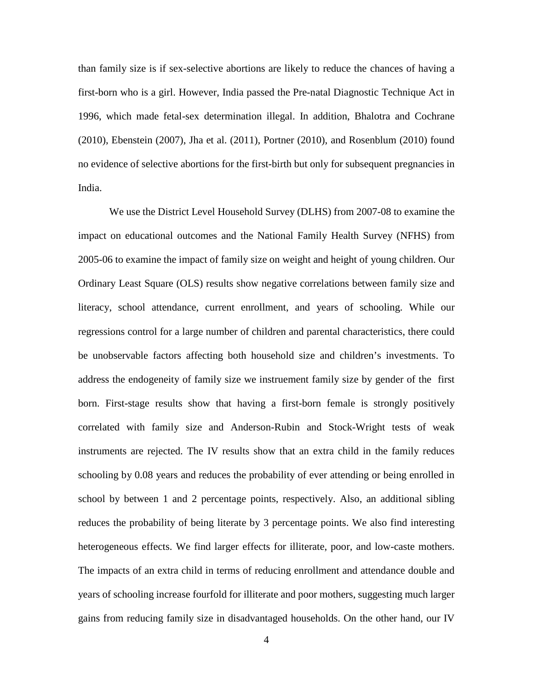than family size is if sex-selective abortions are likely to reduce the chances of having a first-born who is a girl. However, India passed the Pre-natal Diagnostic Technique Act in 1996, which made fetal-sex determination illegal. In addition, Bhalotra and Cochrane (2010), Ebenstein (2007), Jha et al. (2011), Portner (2010), and Rosenblum (2010) found no evidence of selective abortions for the first-birth but only for subsequent pregnancies in India.

We use the District Level Household Survey (DLHS) from 2007-08 to examine the impact on educational outcomes and the National Family Health Survey (NFHS) from 2005-06 to examine the impact of family size on weight and height of young children. Our Ordinary Least Square (OLS) results show negative correlations between family size and literacy, school attendance, current enrollment, and years of schooling. While our regressions control for a large number of children and parental characteristics, there could be unobservable factors affecting both household size and children's investments. To address the endogeneity of family size we instruement family size by gender of the first born. First-stage results show that having a first-born female is strongly positively correlated with family size and Anderson-Rubin and Stock-Wright tests of weak instruments are rejected. The IV results show that an extra child in the family reduces schooling by 0.08 years and reduces the probability of ever attending or being enrolled in school by between 1 and 2 percentage points, respectively. Also, an additional sibling reduces the probability of being literate by 3 percentage points. We also find interesting heterogeneous effects. We find larger effects for illiterate, poor, and low-caste mothers. The impacts of an extra child in terms of reducing enrollment and attendance double and years of schooling increase fourfold for illiterate and poor mothers, suggesting much larger gains from reducing family size in disadvantaged households. On the other hand, our IV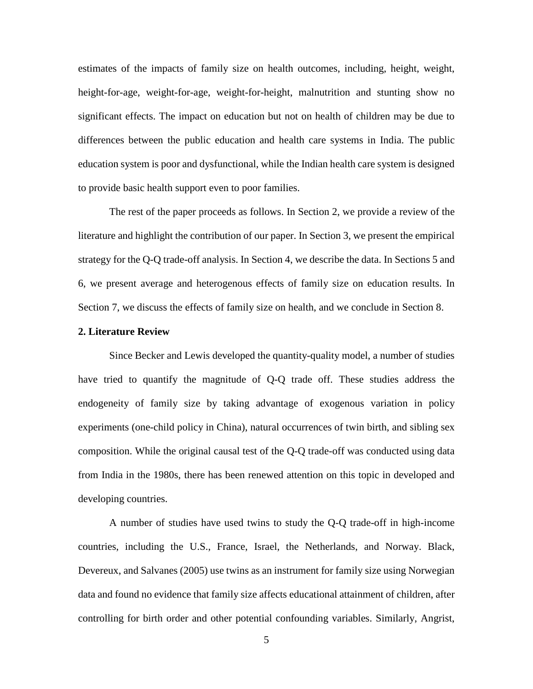estimates of the impacts of family size on health outcomes, including, height, weight, height-for-age, weight-for-age, weight-for-height, malnutrition and stunting show no significant effects. The impact on education but not on health of children may be due to differences between the public education and health care systems in India. The public education system is poor and dysfunctional, while the Indian health care system is designed to provide basic health support even to poor families.

The rest of the paper proceeds as follows. In Section 2, we provide a review of the literature and highlight the contribution of our paper. In Section 3, we present the empirical strategy for the Q-Q trade-off analysis. In Section 4, we describe the data. In Sections 5 and 6, we present average and heterogenous effects of family size on education results. In Section 7, we discuss the effects of family size on health, and we conclude in Section 8.

#### **2. Literature Review**

Since Becker and Lewis developed the quantity-quality model, a number of studies have tried to quantify the magnitude of Q-Q trade off. These studies address the endogeneity of family size by taking advantage of exogenous variation in policy experiments (one-child policy in China), natural occurrences of twin birth, and sibling sex composition. While the original causal test of the Q-Q trade-off was conducted using data from India in the 1980s, there has been renewed attention on this topic in developed and developing countries.

A number of studies have used twins to study the Q-Q trade-off in high-income countries, including the U.S., France, Israel, the Netherlands, and Norway. Black, Devereux, and Salvanes (2005) use twins as an instrument for family size using Norwegian data and found no evidence that family size affects educational attainment of children, after controlling for birth order and other potential confounding variables. Similarly, Angrist,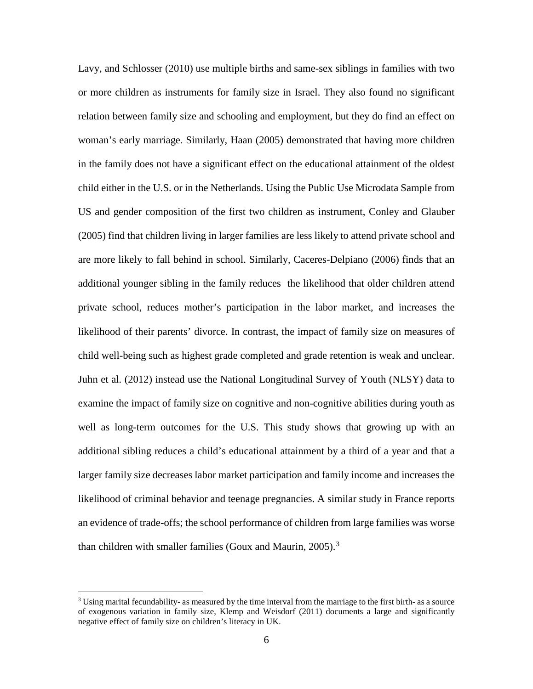Lavy, and Schlosser (2010) use multiple births and same-sex siblings in families with two or more children as instruments for family size in Israel. They also found no significant relation between family size and schooling and employment, but they do find an effect on woman's early marriage. Similarly, Haan (2005) demonstrated that having more children in the family does not have a significant effect on the educational attainment of the oldest child either in the U.S. or in the Netherlands. Using the Public Use Microdata Sample from US and gender composition of the first two children as instrument, Conley and Glauber (2005) find that children living in larger families are less likely to attend private school and are more likely to fall behind in school. Similarly, Caceres-Delpiano (2006) finds that an additional younger sibling in the family reduces the likelihood that older children attend private school, reduces mother's participation in the labor market, and increases the likelihood of their parents' divorce. In contrast, the impact of family size on measures of child well-being such as highest grade completed and grade retention is weak and unclear. Juhn et al. (2012) instead use the National Longitudinal Survey of Youth (NLSY) data to examine the impact of family size on cognitive and non-cognitive abilities during youth as well as long-term outcomes for the U.S. This study shows that growing up with an additional sibling reduces a child's educational attainment by a third of a year and that a larger family size decreases labor market participation and family income and increases the likelihood of criminal behavior and teenage pregnancies. A similar study in France reports an evidence of trade-offs; the school performance of children from large families was worse than children with smaller families (Goux and Maurin, 2005).<sup>[3](#page-6-0)</sup>

<u>.</u>

<span id="page-6-0"></span> $3$  Using marital fecundability- as measured by the time interval from the marriage to the first birth- as a source of exogenous variation in family size, Klemp and Weisdorf (2011) documents a large and significantly negative effect of family size on children's literacy in UK.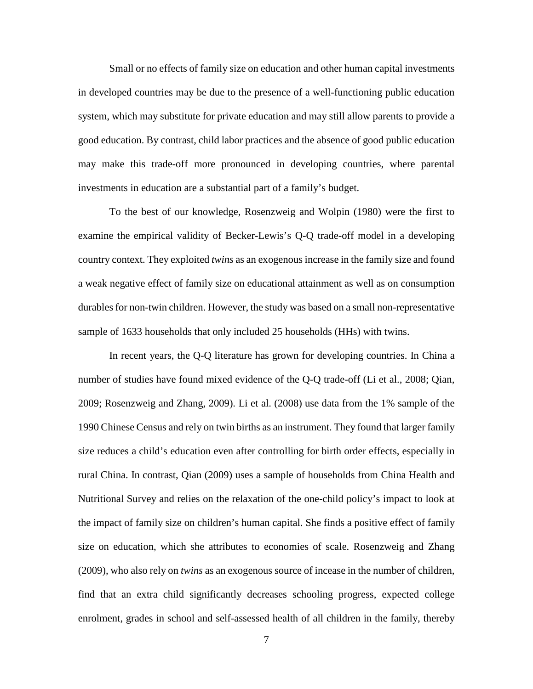Small or no effects of family size on education and other human capital investments in developed countries may be due to the presence of a well-functioning public education system, which may substitute for private education and may still allow parents to provide a good education. By contrast, child labor practices and the absence of good public education may make this trade-off more pronounced in developing countries, where parental investments in education are a substantial part of a family's budget.

To the best of our knowledge, Rosenzweig and Wolpin (1980) were the first to examine the empirical validity of Becker-Lewis's Q-Q trade-off model in a developing country context. They exploited *twins* as an exogenous increase in the family size and found a weak negative effect of family size on educational attainment as well as on consumption durables for non-twin children. However, the study was based on a small non-representative sample of 1633 households that only included 25 households (HHs) with twins.

In recent years, the Q-Q literature has grown for developing countries. In China a number of studies have found mixed evidence of the Q-Q trade-off (Li et al., 2008; Qian, 2009; Rosenzweig and Zhang, 2009). Li et al. (2008) use data from the 1% sample of the 1990 Chinese Census and rely on twin births as an instrument. They found that larger family size reduces a child's education even after controlling for birth order effects, especially in rural China. In contrast, Qian (2009) uses a sample of households from China Health and Nutritional Survey and relies on the relaxation of the one-child policy's impact to look at the impact of family size on children's human capital. She finds a positive effect of family size on education, which she attributes to economies of scale. Rosenzweig and Zhang (2009), who also rely on *twins* as an exogenous source of incease in the number of children, find that an extra child significantly decreases schooling progress, expected college enrolment, grades in school and self-assessed health of all children in the family, thereby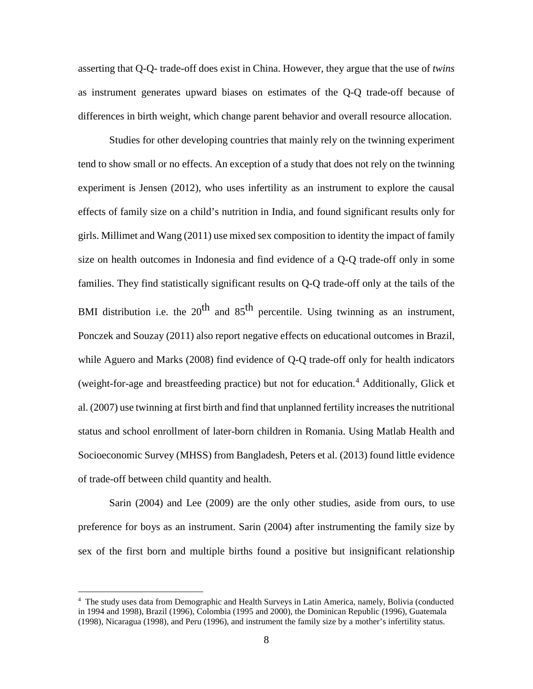asserting that Q-Q- trade-off does exist in China. However, they argue that the use of *twins* as instrument generates upward biases on estimates of the Q-Q trade-off because of differences in birth weight, which change parent behavior and overall resource allocation.

Studies for other developing countries that mainly rely on the twinning experiment tend to show small or no effects. An exception of a study that does not rely on the twinning experiment is Jensen (2012), who uses infertility as an instrument to explore the causal effects of family size on a child's nutrition in India, and found significant results only for girls. Millimet and Wang (2011) use mixed sex composition to identity the impact of family size on health outcomes in Indonesia and find evidence of a Q-Q trade-off only in some families. They find statistically significant results on Q-Q trade-off only at the tails of the BMI distribution i.e. the  $20^{th}$  and  $85^{th}$  percentile. Using twinning as an instrument, Ponczek and Souzay (2011) also report negative effects on educational outcomes in Brazil, while Aguero and Marks (2008) find evidence of Q-Q trade-off only for health indicators (weight-for-age and breastfeeding practice) but not for education.<sup>[4](#page-8-0)</sup> Additionally, Glick et al. (2007) use twinning at first birth and find that unplanned fertility increases the nutritional status and school enrollment of later-born children in Romania. Using Matlab Health and Socioeconomic Survey (MHSS) from Bangladesh, Peters et al. (2013) found little evidence of trade-off between child quantity and health.

Sarin (2004) and Lee (2009) are the only other studies, aside from ours, to use preference for boys as an instrument. Sarin (2004) after instrumenting the family size by sex of the first born and multiple births found a positive but insignificant relationship

<u>.</u>

<span id="page-8-0"></span><sup>&</sup>lt;sup>4</sup> The study uses data from Demographic and Health Surveys in Latin America, namely, Bolivia (conducted in 1994 and 1998), Brazil (1996), Colombia (1995 and 2000), the Dominican Republic (1996), Guatemala (1998), Nicaragua (1998), and Peru (1996), and instrument the family size by a mother's infertility status.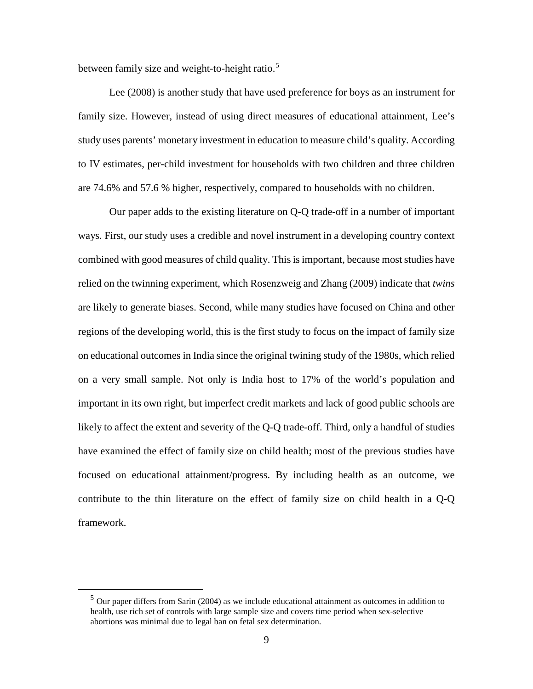between family size and weight-to-height ratio.<sup>[5](#page-9-0)</sup>

Lee (2008) is another study that have used preference for boys as an instrument for family size. However, instead of using direct measures of educational attainment, Lee's study uses parents' monetary investment in education to measure child's quality. According to IV estimates, per-child investment for households with two children and three children are 74.6% and 57.6 % higher, respectively, compared to households with no children.

Our paper adds to the existing literature on Q-Q trade-off in a number of important ways. First, our study uses a credible and novel instrument in a developing country context combined with good measures of child quality. This is important, because most studies have relied on the twinning experiment, which Rosenzweig and Zhang (2009) indicate that *twins* are likely to generate biases. Second, while many studies have focused on China and other regions of the developing world, this is the first study to focus on the impact of family size on educational outcomes in India since the original twining study of the 1980s, which relied on a very small sample. Not only is India host to 17% of the world's population and important in its own right, but imperfect credit markets and lack of good public schools are likely to affect the extent and severity of the Q-Q trade-off. Third, only a handful of studies have examined the effect of family size on child health; most of the previous studies have focused on educational attainment/progress. By including health as an outcome, we contribute to the thin literature on the effect of family size on child health in a Q-Q framework.

<span id="page-9-0"></span>-

 $<sup>5</sup>$  Our paper differs from Sarin (2004) as we include educational attainment as outcomes in addition to</sup> health, use rich set of controls with large sample size and covers time period when sex-selective abortions was minimal due to legal ban on fetal sex determination.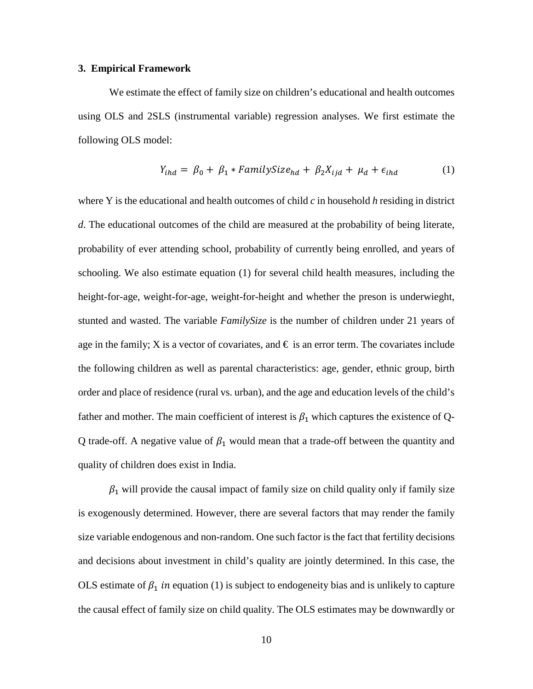#### **3. Empirical Framework**

We estimate the effect of family size on children's educational and health outcomes using OLS and 2SLS (instrumental variable) regression analyses. We first estimate the following OLS model:

$$
Y_{ihd} = \beta_0 + \beta_1 * FamilySize_{hd} + \beta_2 X_{ijd} + \mu_d + \epsilon_{ihd} \tag{1}
$$

where Y is the educational and health outcomes of child *c* in household *h* residing in district *d*. The educational outcomes of the child are measured at the probability of being literate, probability of ever attending school, probability of currently being enrolled, and years of schooling. We also estimate equation (1) for several child health measures, including the height-for-age, weight-for-age, weight-for-height and whether the preson is underwieght, stunted and wasted. The variable *FamilySize* is the number of children under 21 years of age in the family; X is a vector of covariates, and  $\epsilon$  is an error term. The covariates include the following children as well as parental characteristics: age, gender, ethnic group, birth order and place of residence (rural vs. urban), and the age and education levels of the child's father and mother. The main coefficient of interest is  $\beta_1$  which captures the existence of Q-Q trade-off. A negative value of  $\beta_1$  would mean that a trade-off between the quantity and quality of children does exist in India.

 $\beta_1$  will provide the causal impact of family size on child quality only if family size is exogenously determined. However, there are several factors that may render the family size variable endogenous and non-random. One such factor is the fact that fertility decisions and decisions about investment in child's quality are jointly determined. In this case, the OLS estimate of  $\beta_1$  in equation (1) is subject to endogeneity bias and is unlikely to capture the causal effect of family size on child quality. The OLS estimates may be downwardly or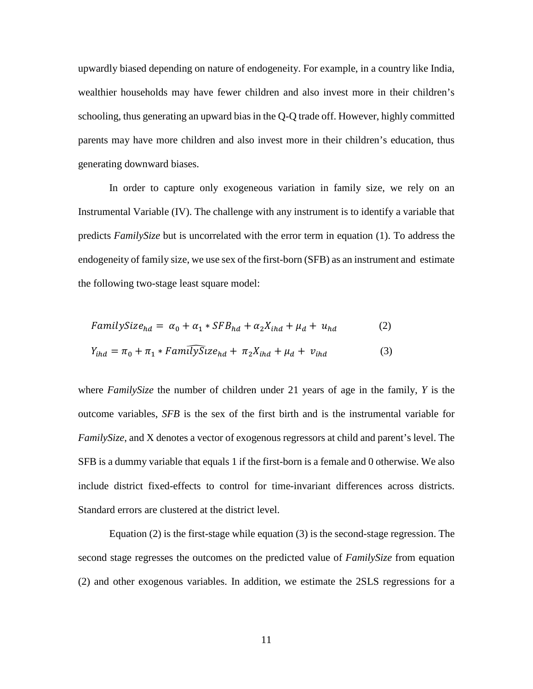upwardly biased depending on nature of endogeneity. For example, in a country like India, wealthier households may have fewer children and also invest more in their children's schooling, thus generating an upward bias in the Q-Q trade off. However, highly committed parents may have more children and also invest more in their children's education, thus generating downward biases.

In order to capture only exogeneous variation in family size, we rely on an Instrumental Variable (IV). The challenge with any instrument is to identify a variable that predicts *FamilySize* but is uncorrelated with the error term in equation (1). To address the endogeneity of family size, we use sex of the first-born (SFB) as an instrument and estimate the following two-stage least square model:

$$
FamilySize_{hd} = \alpha_0 + \alpha_1 * SFB_{hd} + \alpha_2 X_{ihd} + \mu_d + u_{hd}
$$
\n
$$
Y_{ihd} = \pi_0 + \pi_1 * Fam\widehat{uySize}_{hd} + \pi_2 X_{ihd} + \mu_d + v_{ihd}
$$
\n(3)

where *FamilySize* the number of children under 21 years of age in the family, *Y* is the outcome variables, *SFB* is the sex of the first birth and is the instrumental variable for *FamilySize*, and X denotes a vector of exogenous regressors at child and parent's level. The SFB is a dummy variable that equals 1 if the first-born is a female and 0 otherwise. We also include district fixed-effects to control for time-invariant differences across districts. Standard errors are clustered at the district level.

Equation (2) is the first-stage while equation (3) is the second-stage regression. The second stage regresses the outcomes on the predicted value of *FamilySize* from equation (2) and other exogenous variables. In addition, we estimate the 2SLS regressions for a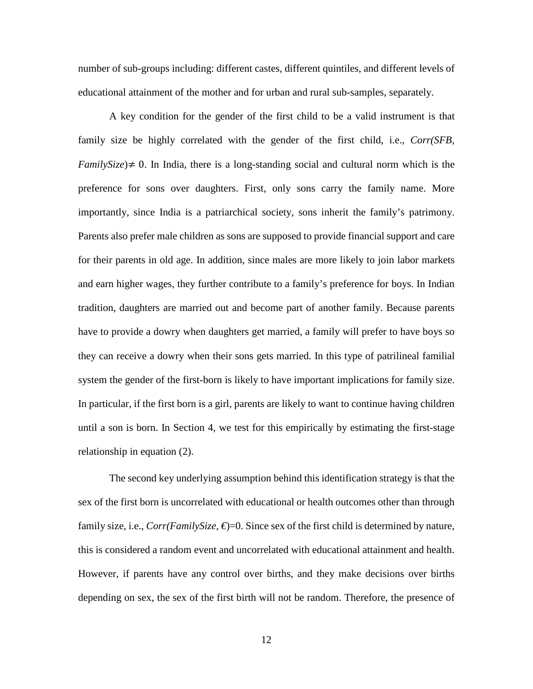number of sub-groups including: different castes, different quintiles, and different levels of educational attainment of the mother and for urban and rural sub-samples, separately.

A key condition for the gender of the first child to be a valid instrument is that family size be highly correlated with the gender of the first child, i.e., *Corr(SFB, FamilySize*) $\neq$  0. In India, there is a long-standing social and cultural norm which is the preference for sons over daughters. First, only sons carry the family name. More importantly, since India is a patriarchical society, sons inherit the family's patrimony. Parents also prefer male children as sons are supposed to provide financial support and care for their parents in old age. In addition, since males are more likely to join labor markets and earn higher wages, they further contribute to a family's preference for boys. In Indian tradition, daughters are married out and become part of another family. Because parents have to provide a dowry when daughters get married, a family will prefer to have boys so they can receive a dowry when their sons gets married. In this type of patrilineal familial system the gender of the first-born is likely to have important implications for family size. In particular, if the first born is a girl, parents are likely to want to continue having children until a son is born. In Section 4, we test for this empirically by estimating the first-stage relationship in equation (2).

The second key underlying assumption behind this identification strategy is that the sex of the first born is uncorrelated with educational or health outcomes other than through family size, i.e.,  $Corr(FamilySize, \epsilon) = 0$ . Since sex of the first child is determined by nature, this is considered a random event and uncorrelated with educational attainment and health. However, if parents have any control over births, and they make decisions over births depending on sex, the sex of the first birth will not be random. Therefore, the presence of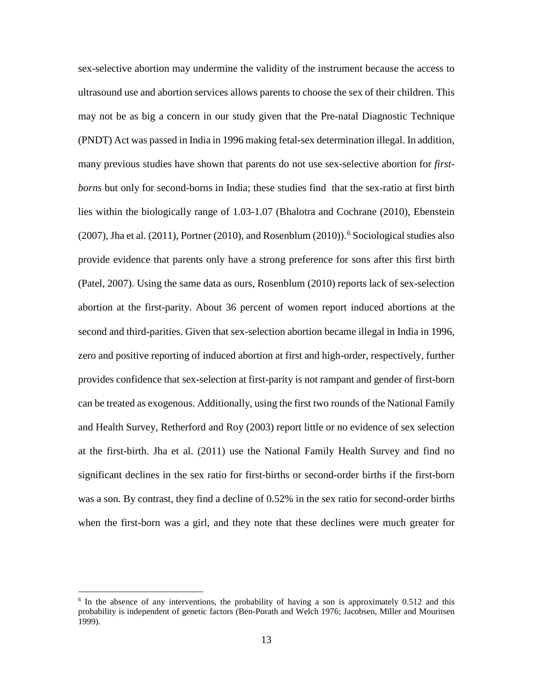sex-selective abortion may undermine the validity of the instrument because the access to ultrasound use and abortion services allows parents to choose the sex of their children. This may not be as big a concern in our study given that the Pre-natal Diagnostic Technique (PNDT) Act was passed in India in 1996 making fetal-sex determination illegal. In addition, many previous studies have shown that parents do not use sex-selective abortion for *firstborns* but only for second-borns in India; these studies find that the sex-ratio at first birth lies within the biologically range of 1.03-1.07 (Bhalotra and Cochrane (2010), Ebenstein (2007), Jha et al. (2011), Portner (2010), and Rosenblum (2010)).<sup>[6](#page-13-0)</sup> Sociological studies also provide evidence that parents only have a strong preference for sons after this first birth (Patel, 2007). Using the same data as ours, Rosenblum (2010) reports lack of sex-selection abortion at the first-parity. About 36 percent of women report induced abortions at the second and third-parities. Given that sex-selection abortion became illegal in India in 1996, zero and positive reporting of induced abortion at first and high-order, respectively, further provides confidence that sex-selection at first-parity is not rampant and gender of first-born can be treated as exogenous. Additionally, using the first two rounds of the National Family and Health Survey, Retherford and Roy (2003) report little or no evidence of sex selection at the first-birth. Jha et al. (2011) use the National Family Health Survey and find no significant declines in the sex ratio for first-births or second-order births if the first-born was a son. By contrast, they find a decline of 0.52% in the sex ratio for second-order births when the first-born was a girl, and they note that these declines were much greater for

<u>.</u>

<span id="page-13-0"></span><sup>&</sup>lt;sup>6</sup> In the absence of any interventions, the probability of having a son is approximately 0.512 and this probability is independent of genetic factors (Ben-Porath and Welch 1976; Jacobsen, Mïller and Mouritsen 1999).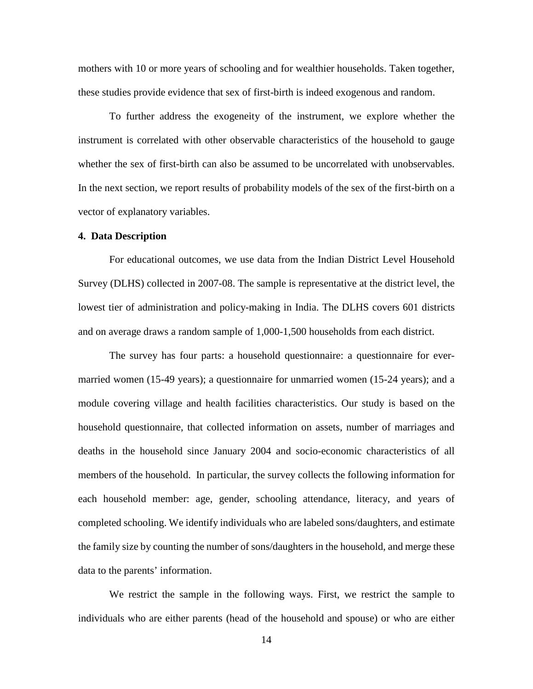mothers with 10 or more years of schooling and for wealthier households. Taken together, these studies provide evidence that sex of first-birth is indeed exogenous and random.

To further address the exogeneity of the instrument, we explore whether the instrument is correlated with other observable characteristics of the household to gauge whether the sex of first-birth can also be assumed to be uncorrelated with unobservables. In the next section, we report results of probability models of the sex of the first-birth on a vector of explanatory variables.

#### **4. Data Description**

For educational outcomes, we use data from the Indian District Level Household Survey (DLHS) collected in 2007-08. The sample is representative at the district level, the lowest tier of administration and policy-making in India. The DLHS covers 601 districts and on average draws a random sample of 1,000-1,500 households from each district.

The survey has four parts: a household questionnaire: a questionnaire for evermarried women (15-49 years); a questionnaire for unmarried women (15-24 years); and a module covering village and health facilities characteristics. Our study is based on the household questionnaire, that collected information on assets, number of marriages and deaths in the household since January 2004 and socio-economic characteristics of all members of the household. In particular, the survey collects the following information for each household member: age, gender, schooling attendance, literacy, and years of completed schooling. We identify individuals who are labeled sons/daughters, and estimate the family size by counting the number of sons/daughters in the household, and merge these data to the parents' information.

We restrict the sample in the following ways. First, we restrict the sample to individuals who are either parents (head of the household and spouse) or who are either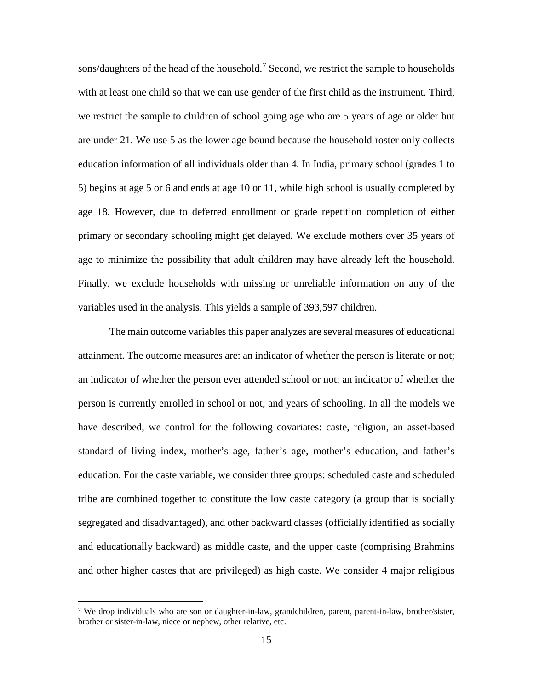sons/daughters of the head of the household.<sup>[7](#page-15-0)</sup> Second, we restrict the sample to households with at least one child so that we can use gender of the first child as the instrument. Third, we restrict the sample to children of school going age who are 5 years of age or older but are under 21. We use 5 as the lower age bound because the household roster only collects education information of all individuals older than 4. In India, primary school (grades 1 to 5) begins at age 5 or 6 and ends at age 10 or 11, while high school is usually completed by age 18. However, due to deferred enrollment or grade repetition completion of either primary or secondary schooling might get delayed. We exclude mothers over 35 years of age to minimize the possibility that adult children may have already left the household. Finally, we exclude households with missing or unreliable information on any of the variables used in the analysis. This yields a sample of 393,597 children.

The main outcome variables this paper analyzes are several measures of educational attainment. The outcome measures are: an indicator of whether the person is literate or not; an indicator of whether the person ever attended school or not; an indicator of whether the person is currently enrolled in school or not, and years of schooling. In all the models we have described, we control for the following covariates: caste, religion, an asset-based standard of living index, mother's age, father's age, mother's education, and father's education. For the caste variable, we consider three groups: scheduled caste and scheduled tribe are combined together to constitute the low caste category (a group that is socially segregated and disadvantaged), and other backward classes (officially identified as socially and educationally backward) as middle caste, and the upper caste (comprising Brahmins and other higher castes that are privileged) as high caste. We consider 4 major religious

-

<span id="page-15-0"></span><sup>&</sup>lt;sup>7</sup> We drop individuals who are son or daughter-in-law, grandchildren, parent, parent-in-law, brother/sister, brother or sister-in-law, niece or nephew, other relative, etc.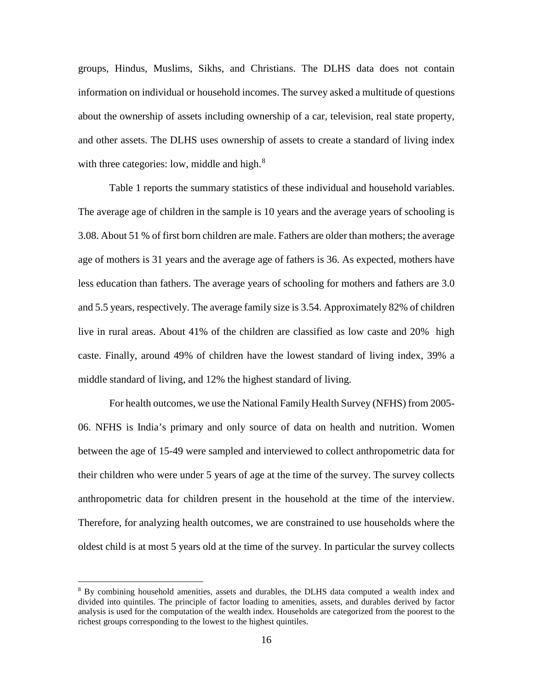groups, Hindus, Muslims, Sikhs, and Christians. The DLHS data does not contain information on individual or household incomes. The survey asked a multitude of questions about the ownership of assets including ownership of a car, television, real state property, and other assets. The DLHS uses ownership of assets to create a standard of living index with three categories: low, middle and high. $8$ 

Table 1 reports the summary statistics of these individual and household variables. The average age of children in the sample is 10 years and the average years of schooling is 3.08. About 51 % of first born children are male. Fathers are older than mothers; the average age of mothers is 31 years and the average age of fathers is 36. As expected, mothers have less education than fathers. The average years of schooling for mothers and fathers are 3.0 and 5.5 years, respectively. The average family size is 3.54. Approximately 82% of children live in rural areas. About 41% of the children are classified as low caste and 20% high caste. Finally, around 49% of children have the lowest standard of living index, 39% a middle standard of living, and 12% the highest standard of living.

For health outcomes, we use the National Family Health Survey (NFHS) from 2005- 06. NFHS is India's primary and only source of data on health and nutrition. Women between the age of 15-49 were sampled and interviewed to collect anthropometric data for their children who were under 5 years of age at the time of the survey. The survey collects anthropometric data for children present in the household at the time of the interview. Therefore, for analyzing health outcomes, we are constrained to use households where the oldest child is at most 5 years old at the time of the survey. In particular the survey collects

<u>.</u>

<span id="page-16-0"></span><sup>&</sup>lt;sup>8</sup> By combining household amenities, assets and durables, the DLHS data computed a wealth index and divided into quintiles. The principle of factor loading to amenities, assets, and durables derived by factor analysis is used for the computation of the wealth index. Households are categorized from the poorest to the richest groups corresponding to the lowest to the highest quintiles.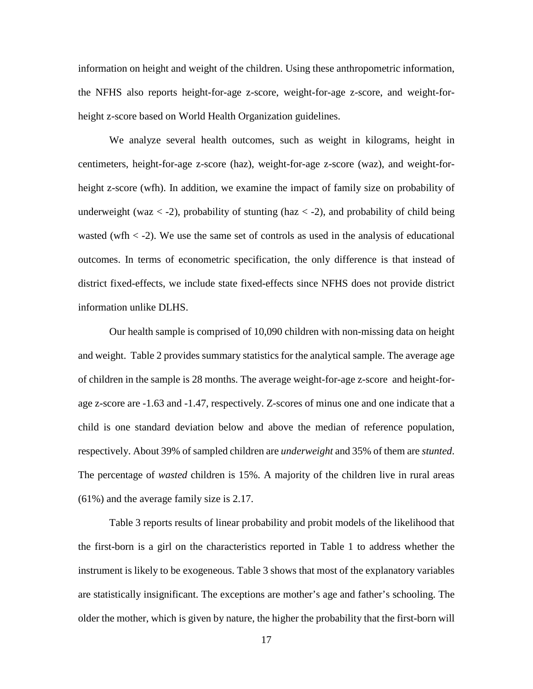information on height and weight of the children. Using these anthropometric information, the NFHS also reports height-for-age z-score, weight-for-age z-score, and weight-forheight z-score based on World Health Organization guidelines.

We analyze several health outcomes, such as weight in kilograms, height in centimeters, height-for-age z-score (haz), weight-for-age z-score (waz), and weight-forheight z-score (wfh). In addition, we examine the impact of family size on probability of underweight (waz  $\langle -2 \rangle$ , probability of stunting (haz  $\langle -2 \rangle$ ), and probability of child being wasted (wfh  $\langle$  -2). We use the same set of controls as used in the analysis of educational outcomes. In terms of econometric specification, the only difference is that instead of district fixed-effects, we include state fixed-effects since NFHS does not provide district information unlike DLHS.

Our health sample is comprised of 10,090 children with non-missing data on height and weight. Table 2 provides summary statistics for the analytical sample. The average age of children in the sample is 28 months. The average weight-for-age z-score and height-forage z-score are -1.63 and -1.47, respectively. Z-scores of minus one and one indicate that a child is one standard deviation below and above the median of reference population, respectively. About 39% of sampled children are *underweight* and 35% of them are *stunted*. The percentage of *wasted* children is 15%. A majority of the children live in rural areas (61%) and the average family size is 2.17.

Table 3 reports results of linear probability and probit models of the likelihood that the first-born is a girl on the characteristics reported in Table 1 to address whether the instrument is likely to be exogeneous. Table 3 shows that most of the explanatory variables are statistically insignificant. The exceptions are mother's age and father's schooling. The older the mother, which is given by nature, the higher the probability that the first-born will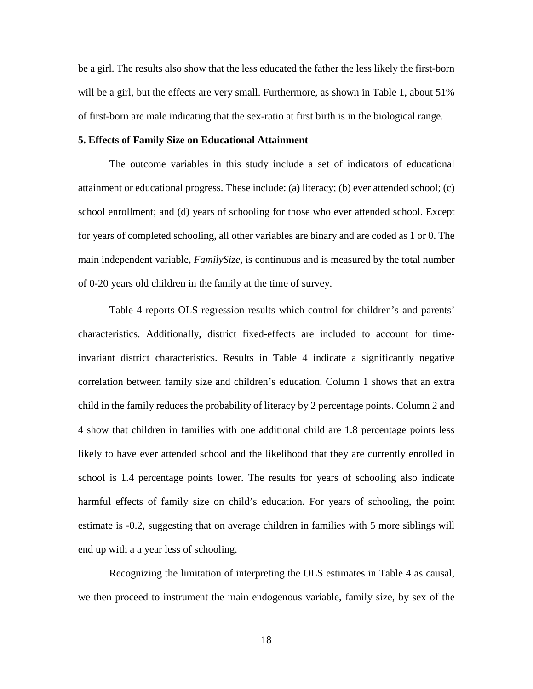be a girl. The results also show that the less educated the father the less likely the first-born will be a girl, but the effects are very small. Furthermore, as shown in Table 1, about 51% of first-born are male indicating that the sex-ratio at first birth is in the biological range.

#### **5. Effects of Family Size on Educational Attainment**

The outcome variables in this study include a set of indicators of educational attainment or educational progress. These include: (a) literacy; (b) ever attended school; (c) school enrollment; and (d) years of schooling for those who ever attended school. Except for years of completed schooling, all other variables are binary and are coded as 1 or 0. The main independent variable, *FamilySize*, is continuous and is measured by the total number of 0-20 years old children in the family at the time of survey.

Table 4 reports OLS regression results which control for children's and parents' characteristics. Additionally, district fixed-effects are included to account for timeinvariant district characteristics. Results in Table 4 indicate a significantly negative correlation between family size and children's education. Column 1 shows that an extra child in the family reduces the probability of literacy by 2 percentage points. Column 2 and 4 show that children in families with one additional child are 1.8 percentage points less likely to have ever attended school and the likelihood that they are currently enrolled in school is 1.4 percentage points lower. The results for years of schooling also indicate harmful effects of family size on child's education. For years of schooling, the point estimate is -0.2, suggesting that on average children in families with 5 more siblings will end up with a a year less of schooling.

Recognizing the limitation of interpreting the OLS estimates in Table 4 as causal, we then proceed to instrument the main endogenous variable, family size, by sex of the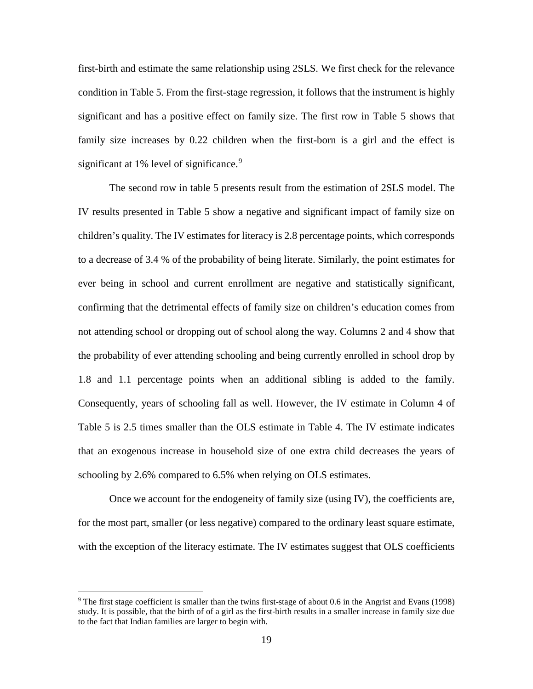first-birth and estimate the same relationship using 2SLS. We first check for the relevance condition in Table 5. From the first-stage regression, it follows that the instrument is highly significant and has a positive effect on family size. The first row in Table 5 shows that family size increases by 0.22 children when the first-born is a girl and the effect is significant at  $1\%$  level of significance.<sup>[9](#page-19-0)</sup>

The second row in table 5 presents result from the estimation of 2SLS model. The IV results presented in Table 5 show a negative and significant impact of family size on children's quality. The IV estimates for literacy is 2.8 percentage points, which corresponds to a decrease of 3.4 % of the probability of being literate. Similarly, the point estimates for ever being in school and current enrollment are negative and statistically significant, confirming that the detrimental effects of family size on children's education comes from not attending school or dropping out of school along the way. Columns 2 and 4 show that the probability of ever attending schooling and being currently enrolled in school drop by 1.8 and 1.1 percentage points when an additional sibling is added to the family. Consequently, years of schooling fall as well. However, the IV estimate in Column 4 of Table 5 is 2.5 times smaller than the OLS estimate in Table 4. The IV estimate indicates that an exogenous increase in household size of one extra child decreases the years of schooling by 2.6% compared to 6.5% when relying on OLS estimates.

Once we account for the endogeneity of family size (using IV), the coefficients are, for the most part, smaller (or less negative) compared to the ordinary least square estimate, with the exception of the literacy estimate. The IV estimates suggest that OLS coefficients

<u>.</u>

<span id="page-19-0"></span><sup>&</sup>lt;sup>9</sup> The first stage coefficient is smaller than the twins first-stage of about 0.6 in the Angrist and Evans (1998) study. It is possible, that the birth of of a girl as the first-birth results in a smaller increase in family size due to the fact that Indian families are larger to begin with.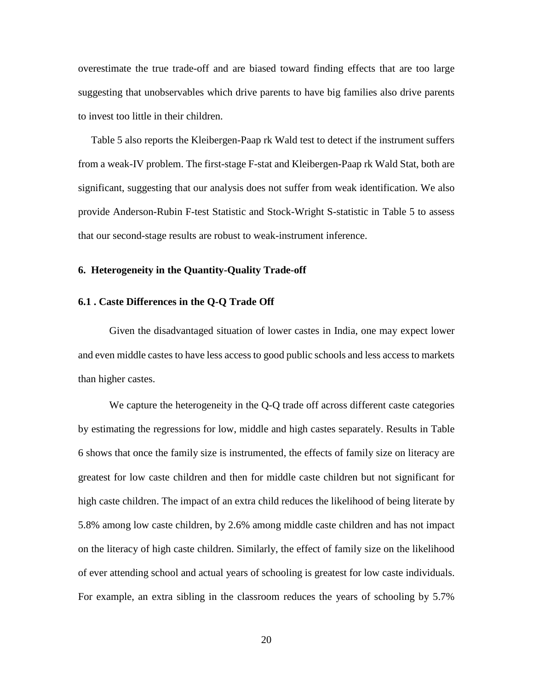overestimate the true trade-off and are biased toward finding effects that are too large suggesting that unobservables which drive parents to have big families also drive parents to invest too little in their children.

Table 5 also reports the Kleibergen-Paap rk Wald test to detect if the instrument suffers from a weak-IV problem. The first-stage F-stat and Kleibergen-Paap rk Wald Stat, both are significant, suggesting that our analysis does not suffer from weak identification. We also provide Anderson-Rubin F-test Statistic and Stock-Wright S-statistic in Table 5 to assess that our second-stage results are robust to weak-instrument inference.

#### **6. Heterogeneity in the Quantity-Quality Trade-off**

#### **6.1 . Caste Differences in the Q-Q Trade Off**

Given the disadvantaged situation of lower castes in India, one may expect lower and even middle castes to have less access to good public schools and less access to markets than higher castes.

We capture the heterogeneity in the Q-Q trade off across different caste categories by estimating the regressions for low, middle and high castes separately. Results in Table 6 shows that once the family size is instrumented, the effects of family size on literacy are greatest for low caste children and then for middle caste children but not significant for high caste children. The impact of an extra child reduces the likelihood of being literate by 5.8% among low caste children, by 2.6% among middle caste children and has not impact on the literacy of high caste children. Similarly, the effect of family size on the likelihood of ever attending school and actual years of schooling is greatest for low caste individuals. For example, an extra sibling in the classroom reduces the years of schooling by 5.7%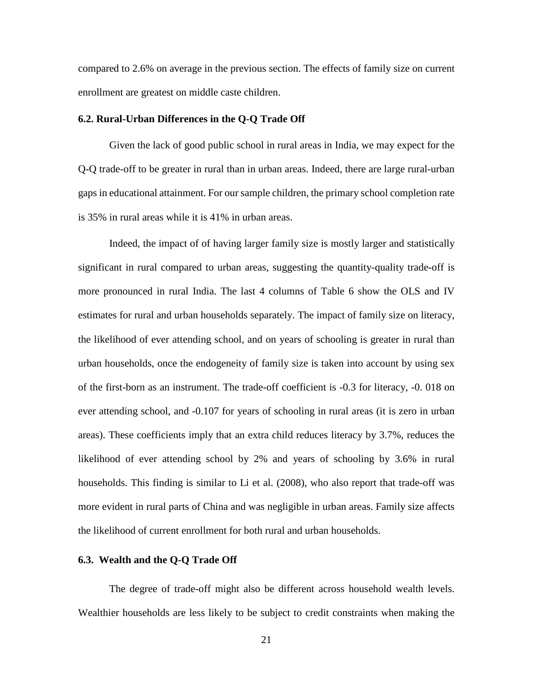compared to 2.6% on average in the previous section. The effects of family size on current enrollment are greatest on middle caste children.

#### **6.2. Rural-Urban Differences in the Q-Q Trade Off**

Given the lack of good public school in rural areas in India, we may expect for the Q-Q trade-off to be greater in rural than in urban areas. Indeed, there are large rural-urban gaps in educational attainment. For our sample children, the primary school completion rate is 35% in rural areas while it is 41% in urban areas.

Indeed, the impact of of having larger family size is mostly larger and statistically significant in rural compared to urban areas, suggesting the quantity-quality trade-off is more pronounced in rural India. The last 4 columns of Table 6 show the OLS and IV estimates for rural and urban households separately. The impact of family size on literacy, the likelihood of ever attending school, and on years of schooling is greater in rural than urban households, once the endogeneity of family size is taken into account by using sex of the first-born as an instrument. The trade-off coefficient is -0.3 for literacy, -0. 018 on ever attending school, and -0.107 for years of schooling in rural areas (it is zero in urban areas). These coefficients imply that an extra child reduces literacy by 3.7%, reduces the likelihood of ever attending school by 2% and years of schooling by 3.6% in rural households. This finding is similar to Li et al. (2008), who also report that trade-off was more evident in rural parts of China and was negligible in urban areas. Family size affects the likelihood of current enrollment for both rural and urban households.

#### **6.3. Wealth and the Q-Q Trade Off**

The degree of trade-off might also be different across household wealth levels. Wealthier households are less likely to be subject to credit constraints when making the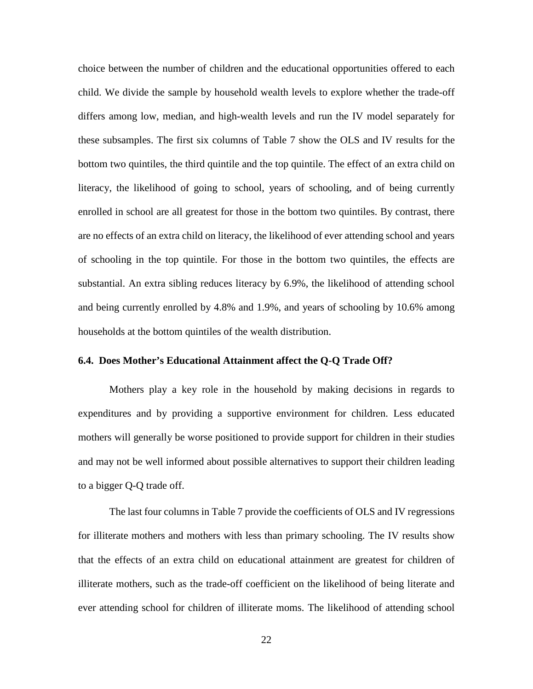choice between the number of children and the educational opportunities offered to each child. We divide the sample by household wealth levels to explore whether the trade-off differs among low, median, and high-wealth levels and run the IV model separately for these subsamples. The first six columns of Table 7 show the OLS and IV results for the bottom two quintiles, the third quintile and the top quintile. The effect of an extra child on literacy, the likelihood of going to school, years of schooling, and of being currently enrolled in school are all greatest for those in the bottom two quintiles. By contrast, there are no effects of an extra child on literacy, the likelihood of ever attending school and years of schooling in the top quintile. For those in the bottom two quintiles, the effects are substantial. An extra sibling reduces literacy by 6.9%, the likelihood of attending school and being currently enrolled by 4.8% and 1.9%, and years of schooling by 10.6% among households at the bottom quintiles of the wealth distribution.

#### **6.4. Does Mother's Educational Attainment affect the Q-Q Trade Off?**

Mothers play a key role in the household by making decisions in regards to expenditures and by providing a supportive environment for children. Less educated mothers will generally be worse positioned to provide support for children in their studies and may not be well informed about possible alternatives to support their children leading to a bigger Q-Q trade off.

The last four columns in Table 7 provide the coefficients of OLS and IV regressions for illiterate mothers and mothers with less than primary schooling. The IV results show that the effects of an extra child on educational attainment are greatest for children of illiterate mothers, such as the trade-off coefficient on the likelihood of being literate and ever attending school for children of illiterate moms. The likelihood of attending school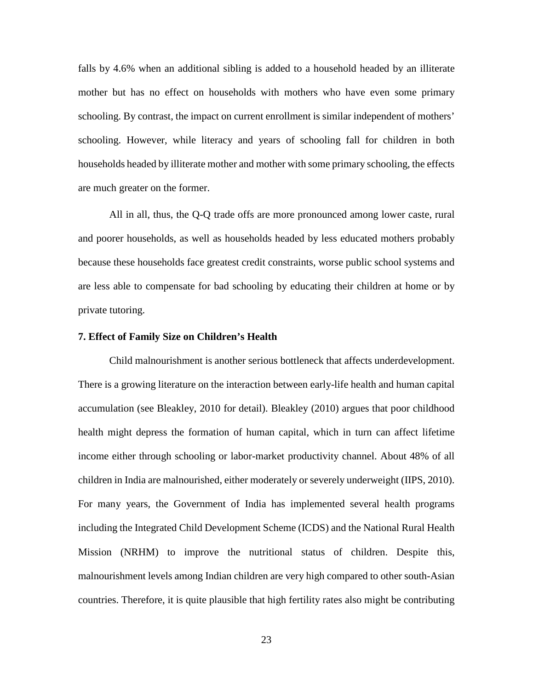falls by 4.6% when an additional sibling is added to a household headed by an illiterate mother but has no effect on households with mothers who have even some primary schooling. By contrast, the impact on current enrollment is similar independent of mothers' schooling. However, while literacy and years of schooling fall for children in both households headed by illiterate mother and mother with some primary schooling, the effects are much greater on the former.

All in all, thus, the Q-Q trade offs are more pronounced among lower caste, rural and poorer households, as well as households headed by less educated mothers probably because these households face greatest credit constraints, worse public school systems and are less able to compensate for bad schooling by educating their children at home or by private tutoring.

#### **7. Effect of Family Size on Children's Health**

Child malnourishment is another serious bottleneck that affects underdevelopment. There is a growing literature on the interaction between early-life health and human capital accumulation (see Bleakley, 2010 for detail). Bleakley (2010) argues that poor childhood health might depress the formation of human capital, which in turn can affect lifetime income either through schooling or labor-market productivity channel. About 48% of all children in India are malnourished, either moderately or severely underweight (IIPS, 2010). For many years, the Government of India has implemented several health programs including the Integrated Child Development Scheme (ICDS) and the National Rural Health Mission (NRHM) to improve the nutritional status of children. Despite this, malnourishment levels among Indian children are very high compared to other south-Asian countries. Therefore, it is quite plausible that high fertility rates also might be contributing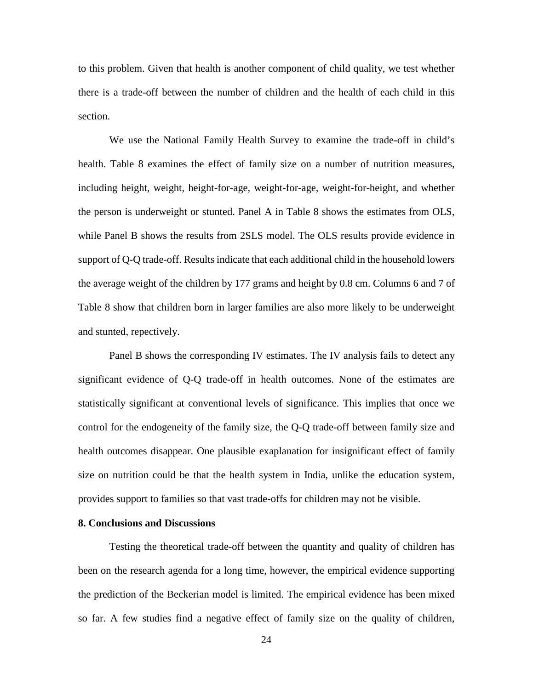to this problem. Given that health is another component of child quality, we test whether there is a trade-off between the number of children and the health of each child in this section.

We use the National Family Health Survey to examine the trade-off in child's health. Table 8 examines the effect of family size on a number of nutrition measures, including height, weight, height-for-age, weight-for-age, weight-for-height, and whether the person is underweight or stunted. Panel A in Table 8 shows the estimates from OLS, while Panel B shows the results from 2SLS model. The OLS results provide evidence in support of Q-Q trade-off. Results indicate that each additional child in the household lowers the average weight of the children by 177 grams and height by 0.8 cm. Columns 6 and 7 of Table 8 show that children born in larger families are also more likely to be underweight and stunted, repectively.

Panel B shows the corresponding IV estimates. The IV analysis fails to detect any significant evidence of Q-Q trade-off in health outcomes. None of the estimates are statistically significant at conventional levels of significance. This implies that once we control for the endogeneity of the family size, the Q-Q trade-off between family size and health outcomes disappear. One plausible exaplanation for insignificant effect of family size on nutrition could be that the health system in India, unlike the education system, provides support to families so that vast trade-offs for children may not be visible.

## **8. Conclusions and Discussions**

Testing the theoretical trade-off between the quantity and quality of children has been on the research agenda for a long time, however, the empirical evidence supporting the prediction of the Beckerian model is limited. The empirical evidence has been mixed so far. A few studies find a negative effect of family size on the quality of children,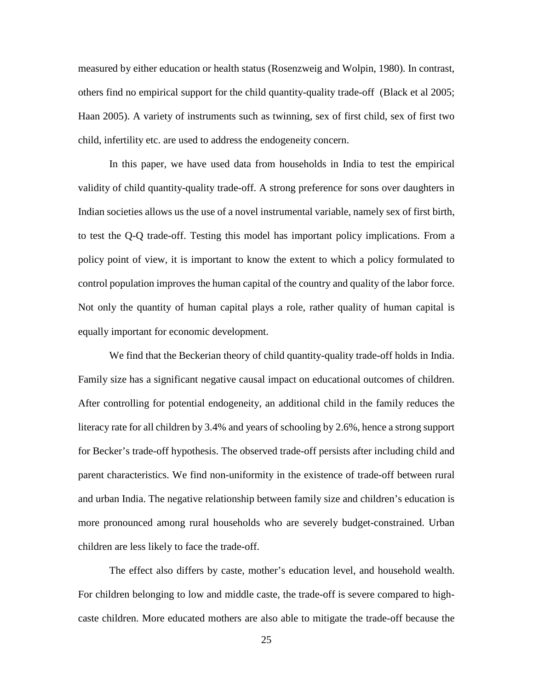measured by either education or health status (Rosenzweig and Wolpin, 1980). In contrast, others find no empirical support for the child quantity-quality trade-off (Black et al 2005; Haan 2005). A variety of instruments such as twinning, sex of first child, sex of first two child, infertility etc. are used to address the endogeneity concern.

In this paper, we have used data from households in India to test the empirical validity of child quantity-quality trade-off. A strong preference for sons over daughters in Indian societies allows us the use of a novel instrumental variable, namely sex of first birth, to test the Q-Q trade-off. Testing this model has important policy implications. From a policy point of view, it is important to know the extent to which a policy formulated to control population improves the human capital of the country and quality of the labor force. Not only the quantity of human capital plays a role, rather quality of human capital is equally important for economic development.

We find that the Beckerian theory of child quantity-quality trade-off holds in India. Family size has a significant negative causal impact on educational outcomes of children. After controlling for potential endogeneity, an additional child in the family reduces the literacy rate for all children by 3.4% and years of schooling by 2.6%, hence a strong support for Becker's trade-off hypothesis. The observed trade-off persists after including child and parent characteristics. We find non-uniformity in the existence of trade-off between rural and urban India. The negative relationship between family size and children's education is more pronounced among rural households who are severely budget-constrained. Urban children are less likely to face the trade-off.

The effect also differs by caste, mother's education level, and household wealth. For children belonging to low and middle caste, the trade-off is severe compared to highcaste children. More educated mothers are also able to mitigate the trade-off because the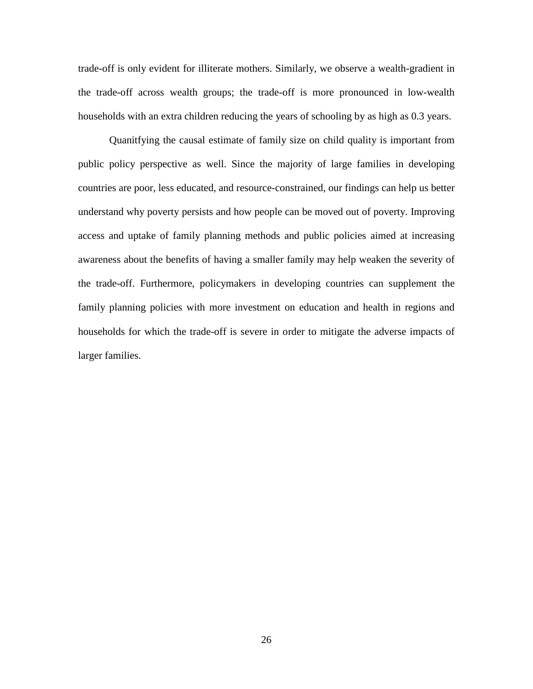trade-off is only evident for illiterate mothers. Similarly, we observe a wealth-gradient in the trade-off across wealth groups; the trade-off is more pronounced in low-wealth households with an extra children reducing the years of schooling by as high as 0.3 years.

Quanitfying the causal estimate of family size on child quality is important from public policy perspective as well. Since the majority of large families in developing countries are poor, less educated, and resource-constrained, our findings can help us better understand why poverty persists and how people can be moved out of poverty. Improving access and uptake of family planning methods and public policies aimed at increasing awareness about the benefits of having a smaller family may help weaken the severity of the trade-off. Furthermore, policymakers in developing countries can supplement the family planning policies with more investment on education and health in regions and households for which the trade-off is severe in order to mitigate the adverse impacts of larger families.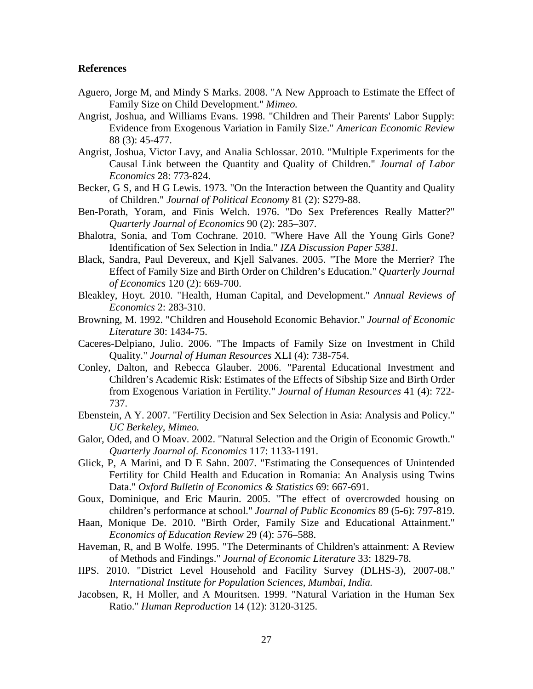#### **References**

- Aguero, Jorge M, and Mindy S Marks. 2008. "A New Approach to Estimate the Effect of Family Size on Child Development." *Mimeo.*
- Angrist, Joshua, and Williams Evans. 1998. "Children and Their Parents' Labor Supply: Evidence from Exogenous Variation in Family Size." *American Economic Review* 88 (3): 45-477.
- Angrist, Joshua, Victor Lavy, and Analia Schlossar. 2010. "Multiple Experiments for the Causal Link between the Quantity and Quality of Children." *Journal of Labor Economics* 28: 773-824.
- Becker, G S, and H G Lewis. 1973. "On the Interaction between the Quantity and Quality of Children." *Journal of Political Economy* 81 (2): S279-88.
- Ben-Porath, Yoram, and Finis Welch. 1976. "Do Sex Preferences Really Matter?" *Quarterly Journal of Economics* 90 (2): 285–307.
- Bhalotra, Sonia, and Tom Cochrane. 2010. "Where Have All the Young Girls Gone? Identification of Sex Selection in India." *IZA Discussion Paper 5381.*
- Black, Sandra, Paul Devereux, and Kjell Salvanes. 2005. "The More the Merrier? The Effect of Family Size and Birth Order on Children's Education." *Quarterly Journal of Economics* 120 (2): 669-700.
- Bleakley, Hoyt. 2010. "Health, Human Capital, and Development." *Annual Reviews of Economics* 2: 283-310.
- Browning, M. 1992. "Children and Household Economic Behavior." *Journal of Economic Literature* 30: 1434-75.
- Caceres-Delpiano, Julio. 2006. "The Impacts of Family Size on Investment in Child Quality." *Journal of Human Resources* XLI (4): 738-754.
- Conley, Dalton, and Rebecca Glauber. 2006. "Parental Educational Investment and Children's Academic Risk: Estimates of the Effects of Sibship Size and Birth Order from Exogenous Variation in Fertility." *Journal of Human Resources* 41 (4): 722- 737.
- Ebenstein, A Y. 2007. "Fertility Decision and Sex Selection in Asia: Analysis and Policy." *UC Berkeley, Mimeo.*
- Galor, Oded, and O Moav. 2002. "Natural Selection and the Origin of Economic Growth." *Quarterly Journal of. Economics* 117: 1133-1191.
- Glick, P, A Marini, and D E Sahn. 2007. "Estimating the Consequences of Unintended Fertility for Child Health and Education in Romania: An Analysis using Twins Data." *Oxford Bulletin of Economics & Statistics* 69: 667-691.
- Goux, Dominique, and Eric Maurin. 2005. "The effect of overcrowded housing on children's performance at school." *Journal of Public Economics* 89 (5-6): 797-819.
- Haan, Monique De. 2010. "Birth Order, Family Size and Educational Attainment." *Economics of Education Review* 29 (4): 576–588.
- Haveman, R, and B Wolfe. 1995. "The Determinants of Children's attainment: A Review of Methods and Findings." *Journal of Economic Literature* 33: 1829-78.
- IIPS. 2010. "District Level Household and Facility Survey (DLHS-3), 2007-08." *International Institute for Population Sciences, Mumbai, India.*
- Jacobsen, R, H Moller, and A Mouritsen. 1999. "Natural Variation in the Human Sex Ratio." *Human Reproduction* 14 (12): 3120-3125.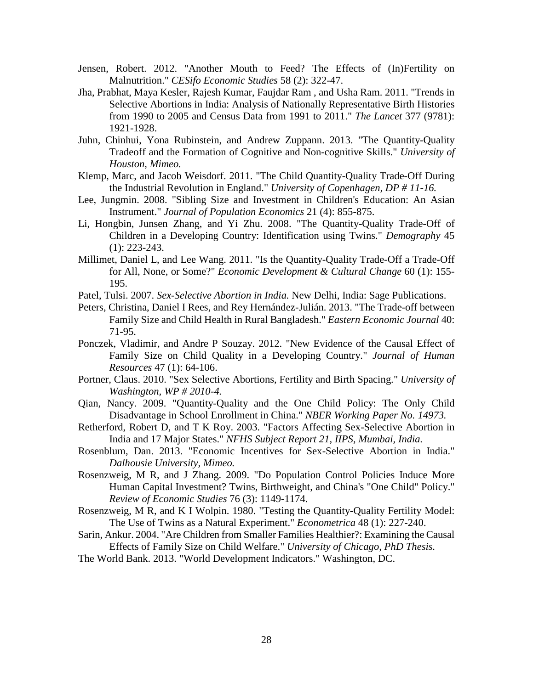- Jensen, Robert. 2012. "Another Mouth to Feed? The Effects of (In)Fertility on Malnutrition." *CESifo Economic Studies* 58 (2): 322-47.
- Jha, Prabhat, Maya Kesler, Rajesh Kumar, Faujdar Ram , and Usha Ram. 2011. "Trends in Selective Abortions in India: Analysis of Nationally Representative Birth Histories from 1990 to 2005 and Census Data from 1991 to 2011." *The Lancet* 377 (9781): 1921-1928.
- Juhn, Chinhui, Yona Rubinstein, and Andrew Zuppann. 2013. "The Quantity-Quality Tradeoff and the Formation of Cognitive and Non-cognitive Skills." *University of Houston, Mimeo.*
- Klemp, Marc, and Jacob Weisdorf. 2011. "The Child Quantity-Quality Trade-Off During the Industrial Revolution in England." *University of Copenhagen, DP # 11-16.*
- Lee, Jungmin. 2008. "Sibling Size and Investment in Children's Education: An Asian Instrument." *Journal of Population Economics* 21 (4): 855-875.
- Li, Hongbin, Junsen Zhang, and Yi Zhu. 2008. "The Quantity-Quality Trade-Off of Children in a Developing Country: Identification using Twins." *Demography* 45 (1): 223-243.
- Millimet, Daniel L, and Lee Wang. 2011. "Is the Quantity-Quality Trade-Off a Trade-Off for All, None, or Some?" *Economic Development & Cultural Change* 60 (1): 155- 195.
- Patel, Tulsi. 2007. *Sex-Selective Abortion in India.* New Delhi, India: Sage Publications.
- Peters, Christina, Daniel I Rees, and Rey Hernández-Julián. 2013. "The Trade-off between Family Size and Child Health in Rural Bangladesh." *Eastern Economic Journal* 40: 71-95.
- Ponczek, Vladimir, and Andre P Souzay. 2012. "New Evidence of the Causal Effect of Family Size on Child Quality in a Developing Country." *Journal of Human Resources* 47 (1): 64-106.
- Portner, Claus. 2010. "Sex Selective Abortions, Fertility and Birth Spacing." *University of Washington, WP # 2010-4.*
- Qian, Nancy. 2009. "Quantity-Quality and the One Child Policy: The Only Child Disadvantage in School Enrollment in China." *NBER Working Paper No. 14973.*
- Retherford, Robert D, and T K Roy. 2003. "Factors Affecting Sex-Selective Abortion in India and 17 Major States." *NFHS Subject Report 21, IIPS, Mumbai, India.*
- Rosenblum, Dan. 2013. "Economic Incentives for Sex-Selective Abortion in India." *Dalhousie University, Mimeo.*
- Rosenzweig, M R, and J Zhang. 2009. "Do Population Control Policies Induce More Human Capital Investment? Twins, Birthweight, and China's "One Child" Policy." *Review of Economic Studies* 76 (3): 1149-1174.
- Rosenzweig, M R, and K I Wolpin. 1980. "Testing the Quantity-Quality Fertility Model: The Use of Twins as a Natural Experiment." *Econometrica* 48 (1): 227-240.
- Sarin, Ankur. 2004. "Are Children from Smaller Families Healthier?: Examining the Causal Effects of Family Size on Child Welfare." *University of Chicago, PhD Thesis.*
- The World Bank. 2013. "World Development Indicators." Washington, DC.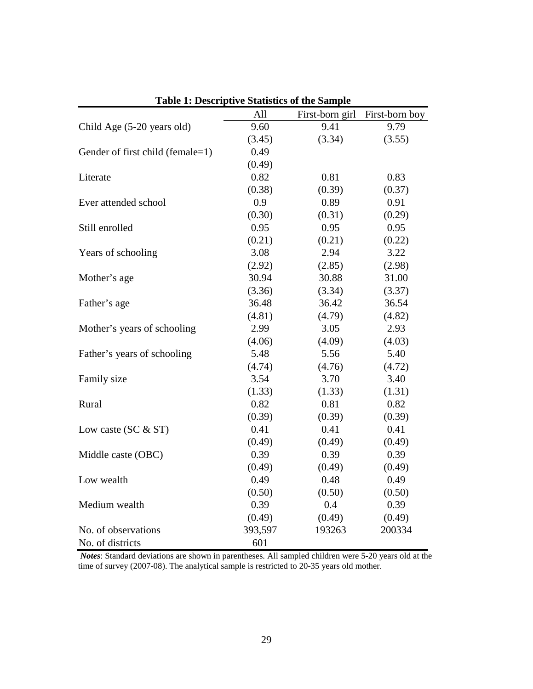|                                  | All     |        | First-born girl First-born boy |
|----------------------------------|---------|--------|--------------------------------|
| Child Age (5-20 years old)       | 9.60    | 9.41   | 9.79                           |
|                                  | (3.45)  | (3.34) | (3.55)                         |
| Gender of first child (female=1) | 0.49    |        |                                |
|                                  | (0.49)  |        |                                |
| Literate                         | 0.82    | 0.81   | 0.83                           |
|                                  | (0.38)  | (0.39) | (0.37)                         |
| Ever attended school             | 0.9     | 0.89   | 0.91                           |
|                                  | (0.30)  | (0.31) | (0.29)                         |
| Still enrolled                   | 0.95    | 0.95   | 0.95                           |
|                                  | (0.21)  | (0.21) | (0.22)                         |
| Years of schooling               | 3.08    | 2.94   | 3.22                           |
|                                  | (2.92)  | (2.85) | (2.98)                         |
| Mother's age                     | 30.94   | 30.88  | 31.00                          |
|                                  | (3.36)  | (3.34) | (3.37)                         |
| Father's age                     | 36.48   | 36.42  | 36.54                          |
|                                  | (4.81)  | (4.79) | (4.82)                         |
| Mother's years of schooling      | 2.99    | 3.05   | 2.93                           |
|                                  | (4.06)  | (4.09) | (4.03)                         |
| Father's years of schooling      | 5.48    | 5.56   | 5.40                           |
|                                  | (4.74)  | (4.76) | (4.72)                         |
| Family size                      | 3.54    | 3.70   | 3.40                           |
|                                  | (1.33)  | (1.33) | (1.31)                         |
| Rural                            | 0.82    | 0.81   | 0.82                           |
|                                  | (0.39)  | (0.39) | (0.39)                         |
| Low caste (SC $&$ ST)            | 0.41    | 0.41   | 0.41                           |
|                                  | (0.49)  | (0.49) | (0.49)                         |
| Middle caste (OBC)               | 0.39    | 0.39   | 0.39                           |
|                                  | (0.49)  | (0.49) | (0.49)                         |
| Low wealth                       | 0.49    | 0.48   | 0.49                           |
|                                  | (0.50)  | (0.50) | (0.50)                         |
| Medium wealth                    | 0.39    | 0.4    | 0.39                           |
|                                  | (0.49)  | (0.49) | (0.49)                         |
| No. of observations              | 393,597 | 193263 | 200334                         |
| No. of districts                 | 601     |        |                                |
|                                  |         |        |                                |

**Table 1: Descriptive Statistics of the Sample**

*Notes*: Standard deviations are shown in parentheses. All sampled children were 5-20 years old at the time of survey (2007-08). The analytical sample is restricted to 20-35 years old mother.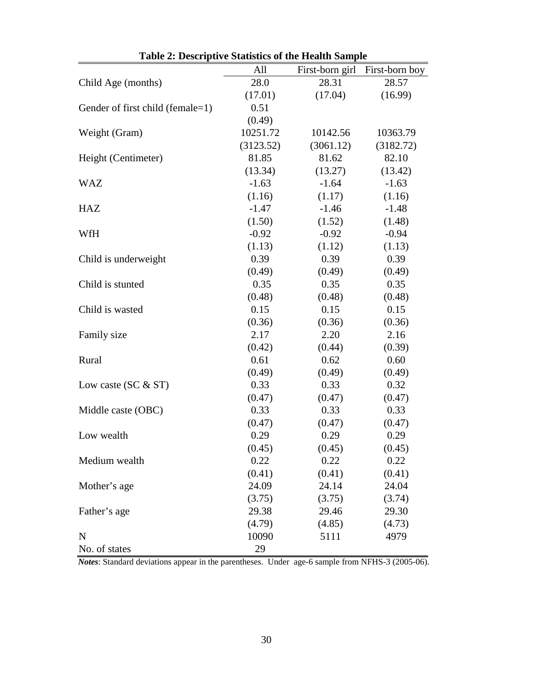| Table 2. Descriptive Statistics of the freatin Sample |           |                 |                |
|-------------------------------------------------------|-----------|-----------------|----------------|
|                                                       | All       | First-born girl | First-born boy |
| Child Age (months)                                    | 28.0      | 28.31           | 28.57          |
|                                                       | (17.01)   | (17.04)         | (16.99)        |
| Gender of first child (female=1)                      | 0.51      |                 |                |
|                                                       | (0.49)    |                 |                |
| Weight (Gram)                                         | 10251.72  | 10142.56        | 10363.79       |
|                                                       | (3123.52) | (3061.12)       | (3182.72)      |
| Height (Centimeter)                                   | 81.85     | 81.62           | 82.10          |
|                                                       | (13.34)   | (13.27)         | (13.42)        |
| <b>WAZ</b>                                            | $-1.63$   | $-1.64$         | $-1.63$        |
|                                                       | (1.16)    | (1.17)          | (1.16)         |
| HAZ                                                   | $-1.47$   | $-1.46$         | $-1.48$        |
|                                                       | (1.50)    | (1.52)          | (1.48)         |
| WfH                                                   | $-0.92$   | $-0.92$         | $-0.94$        |
|                                                       | (1.13)    | (1.12)          | (1.13)         |
| Child is underweight                                  | 0.39      | 0.39            | 0.39           |
|                                                       | (0.49)    | (0.49)          | (0.49)         |
| Child is stunted                                      | 0.35      | 0.35            | 0.35           |
|                                                       | (0.48)    | (0.48)          | (0.48)         |
| Child is wasted                                       | 0.15      | 0.15            | 0.15           |
|                                                       | (0.36)    | (0.36)          | (0.36)         |
| Family size                                           | 2.17      | 2.20            | 2.16           |
|                                                       | (0.42)    | (0.44)          | (0.39)         |
| Rural                                                 | 0.61      | 0.62            | 0.60           |
|                                                       | (0.49)    | (0.49)          | (0.49)         |
| Low caste (SC $&$ ST)                                 | 0.33      | 0.33            | 0.32           |
|                                                       | (0.47)    | (0.47)          | (0.47)         |
| Middle caste (OBC)                                    | 0.33      | 0.33            | 0.33           |
|                                                       | (0.47)    | (0.47)          | (0.47)         |
| Low wealth                                            | 0.29      | 0.29            | 0.29           |
|                                                       | (0.45)    | (0.45)          | (0.45)         |
| Medium wealth                                         | 0.22      | 0.22            | 0.22           |
|                                                       | (0.41)    | (0.41)          | (0.41)         |
| Mother's age                                          | 24.09     | 24.14           | 24.04          |
|                                                       | (3.75)    | (3.75)          | (3.74)         |
| Father's age                                          | 29.38     | 29.46           | 29.30          |
|                                                       | (4.79)    | (4.85)          | (4.73)         |
| $\mathbf N$                                           | 10090     | 5111            | 4979           |
| No. of states                                         | 29        |                 |                |

*Notes*: Standard deviations appear in the parentheses. Under age-6 sample from NFHS-3 (2005-06).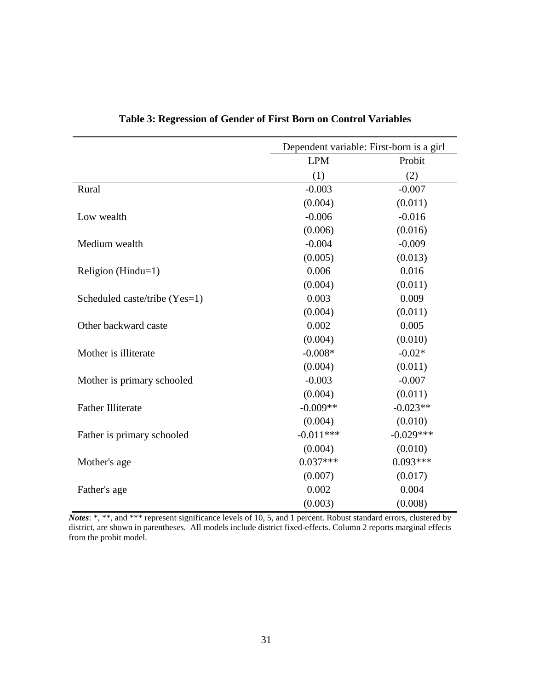|                               |             | Dependent variable: First-born is a girl |  |  |
|-------------------------------|-------------|------------------------------------------|--|--|
|                               | <b>LPM</b>  | Probit                                   |  |  |
|                               | (1)         | (2)                                      |  |  |
| Rural                         | $-0.003$    | $-0.007$                                 |  |  |
|                               | (0.004)     | (0.011)                                  |  |  |
| Low wealth                    | $-0.006$    | $-0.016$                                 |  |  |
|                               | (0.006)     | (0.016)                                  |  |  |
| Medium wealth                 | $-0.004$    | $-0.009$                                 |  |  |
|                               | (0.005)     | (0.013)                                  |  |  |
| Religion ( $Hindu=1$ )        | 0.006       | 0.016                                    |  |  |
|                               | (0.004)     | (0.011)                                  |  |  |
| Scheduled caste/tribe (Yes=1) | 0.003       | 0.009                                    |  |  |
|                               | (0.004)     | (0.011)                                  |  |  |
| Other backward caste          | 0.002       | 0.005                                    |  |  |
|                               | (0.004)     | (0.010)                                  |  |  |
| Mother is illiterate          | $-0.008*$   | $-0.02*$                                 |  |  |
|                               | (0.004)     | (0.011)                                  |  |  |
| Mother is primary schooled    | $-0.003$    | $-0.007$                                 |  |  |
|                               | (0.004)     | (0.011)                                  |  |  |
| <b>Father Illiterate</b>      | $-0.009**$  | $-0.023**$                               |  |  |
|                               | (0.004)     | (0.010)                                  |  |  |
| Father is primary schooled    | $-0.011***$ | $-0.029***$                              |  |  |
|                               | (0.004)     | (0.010)                                  |  |  |
| Mother's age                  | $0.037***$  | $0.093***$                               |  |  |
|                               | (0.007)     | (0.017)                                  |  |  |
| Father's age                  | 0.002       | 0.004                                    |  |  |
|                               | (0.003)     | (0.008)                                  |  |  |

**Table 3: Regression of Gender of First Born on Control Variables**

*Notes*: \*, \*\*, and \*\*\* represent significance levels of 10, 5, and 1 percent. Robust standard errors, clustered by district, are shown in parentheses. All models include district fixed-effects. Column 2 reports marginal effects from the probit model.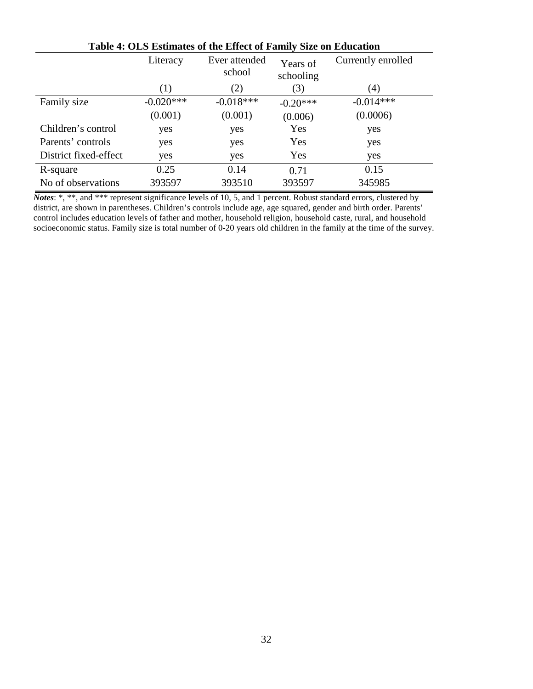|                       | Literacy    | Ever attended<br>school | Years of<br>schooling | Currently enrolled |
|-----------------------|-------------|-------------------------|-----------------------|--------------------|
|                       | (1)         | (2)                     | (3)                   | (4)                |
| Family size           | $-0.020***$ | $-0.018***$             | $-0.20***$            | $-0.014***$        |
|                       | (0.001)     | (0.001)                 | (0.006)               | (0.0006)           |
| Children's control    | yes         | yes                     | Yes                   | yes                |
| Parents' controls     | yes         | yes                     | Yes                   | yes                |
| District fixed-effect | yes         | yes                     | Yes                   | yes                |
| R-square              | 0.25        | 0.14                    | 0.71                  | 0.15               |
| No of observations    | 393597      | 393510                  | 393597                | 345985             |

**Table 4: OLS Estimates of the Effect of Family Size on Education**

*Notes*: \*, \*\*, and \*\*\* represent significance levels of 10, 5, and 1 percent. Robust standard errors, clustered by district, are shown in parentheses. Children's controls include age, age squared, gender and birth order. Parents' control includes education levels of father and mother, household religion, household caste, rural, and household socioeconomic status. Family size is total number of 0-20 years old children in the family at the time of the survey.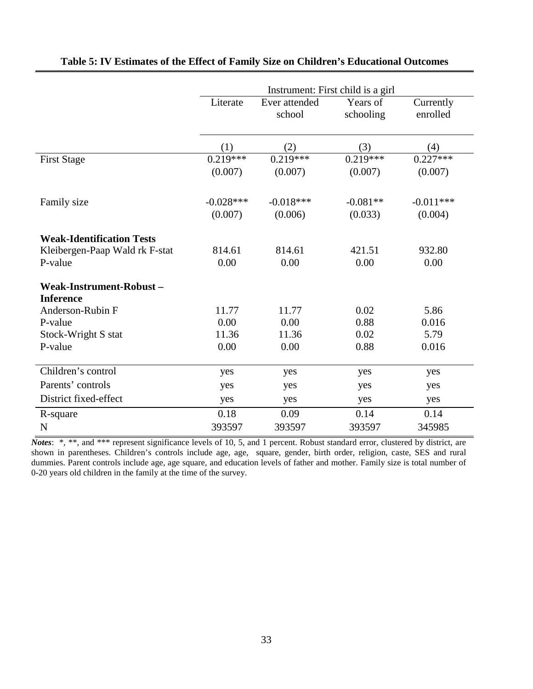|                                  | Instrument: First child is a girl |               |            |             |  |  |  |
|----------------------------------|-----------------------------------|---------------|------------|-------------|--|--|--|
|                                  | Literate                          | Ever attended | Years of   | Currently   |  |  |  |
|                                  |                                   | school        | schooling  | enrolled    |  |  |  |
|                                  |                                   |               |            |             |  |  |  |
|                                  | (1)                               | (2)           | (3)        | (4)         |  |  |  |
| <b>First Stage</b>               | $0.219***$                        | $0.219***$    | $0.219***$ | $0.227***$  |  |  |  |
|                                  | (0.007)                           | (0.007)       | (0.007)    | (0.007)     |  |  |  |
| Family size                      | $-0.028***$                       | $-0.018***$   | $-0.081**$ | $-0.011***$ |  |  |  |
|                                  | (0.007)                           | (0.006)       | (0.033)    | (0.004)     |  |  |  |
| <b>Weak-Identification Tests</b> |                                   |               |            |             |  |  |  |
| Kleibergen-Paap Wald rk F-stat   | 814.61                            | 814.61        | 421.51     | 932.80      |  |  |  |
| P-value                          | 0.00                              | 0.00          | 0.00       | 0.00        |  |  |  |
| Weak-Instrument-Robust-          |                                   |               |            |             |  |  |  |
| <b>Inference</b>                 |                                   |               |            |             |  |  |  |
| Anderson-Rubin F                 | 11.77                             | 11.77         | 0.02       | 5.86        |  |  |  |
| P-value                          | 0.00                              | 0.00          | 0.88       | 0.016       |  |  |  |
| Stock-Wright S stat              | 11.36                             | 11.36         | 0.02       | 5.79        |  |  |  |
| P-value                          | 0.00                              | 0.00          | 0.88       | 0.016       |  |  |  |
| Children's control               | yes                               | yes           | yes        | yes         |  |  |  |
| Parents' controls                | yes                               | yes           | yes        | yes         |  |  |  |
| District fixed-effect            | yes                               | yes           | yes        | yes         |  |  |  |
| R-square                         | 0.18                              | 0.09          | 0.14       | 0.14        |  |  |  |
| $\mathbf N$                      | 393597                            | 393597        | 393597     | 345985      |  |  |  |

### **Table 5: IV Estimates of the Effect of Family Size on Children's Educational Outcomes**

*Notes*: \*, \*\*, and \*\*\* represent significance levels of 10, 5, and 1 percent. Robust standard error, clustered by district, are shown in parentheses. Children's controls include age, age, square, gender, birth order, religion, caste, SES and rural dummies. Parent controls include age, age square, and education levels of father and mother. Family size is total number of 0-20 years old children in the family at the time of the survey.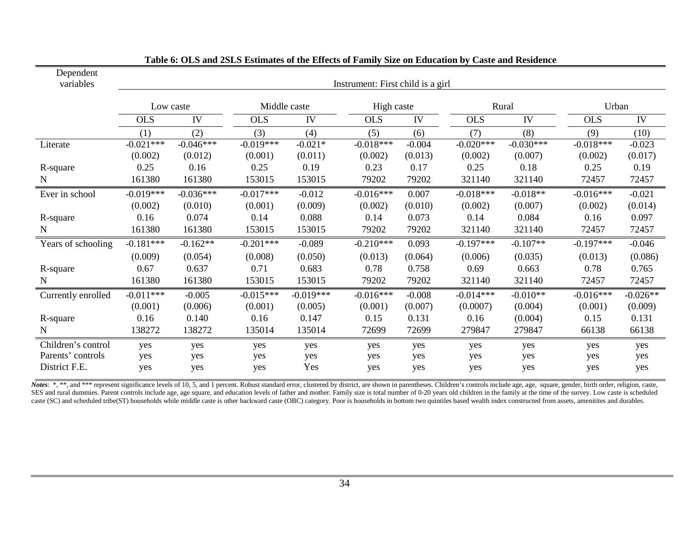| Dependent<br>variables                                   | Instrument: First child is a girl |                        |                        |                        |                        |                     |                         |                        |                        |                       |  |
|----------------------------------------------------------|-----------------------------------|------------------------|------------------------|------------------------|------------------------|---------------------|-------------------------|------------------------|------------------------|-----------------------|--|
|                                                          | Low caste                         |                        | Middle caste           |                        |                        | High caste          |                         | Rural                  |                        | Urban                 |  |
|                                                          | <b>OLS</b>                        | IV                     | <b>OLS</b>             | IV                     | <b>OLS</b>             | IV                  | <b>OLS</b>              | IV                     | <b>OLS</b>             | IV                    |  |
|                                                          | (1)                               | (2)                    | (3)                    | (4)                    | (5)                    | (6)                 | (7)                     | (8)                    | (9)                    | (10)                  |  |
| Literate                                                 | $-0.021***$<br>(0.002)            | $-0.046***$<br>(0.012) | $-0.019***$<br>(0.001) | $-0.021*$<br>(0.011)   | $-0.018***$<br>(0.002) | $-0.004$<br>(0.013) | $-0.020***$<br>(0.002)  | $-0.030***$<br>(0.007) | $-0.018***$<br>(0.002) | $-0.023$<br>(0.017)   |  |
| R-square                                                 | 0.25                              | 0.16                   | 0.25                   | 0.19                   | 0.23                   | 0.17                | 0.25                    | 0.18                   | 0.25                   | 0.19                  |  |
| N                                                        | 161380                            | 161380                 | 153015                 | 153015                 | 79202                  | 79202               | 321140                  | 321140                 | 72457                  | 72457                 |  |
| Ever in school                                           | $-0.019***$<br>(0.002)            | $-0.036***$<br>(0.010) | $-0.017***$<br>(0.001) | $-0.012$<br>(0.009)    | $-0.016***$<br>(0.002) | 0.007<br>(0.010)    | $-0.018***$<br>(0.002)  | $-0.018**$<br>(0.007)  | $-0.016***$<br>(0.002) | $-0.021$<br>(0.014)   |  |
| R-square                                                 | 0.16                              | 0.074                  | 0.14                   | 0.088                  | 0.14                   | 0.073               | 0.14                    | 0.084                  | 0.16                   | 0.097                 |  |
| $\mathbf N$                                              | 161380                            | 161380                 | 153015                 | 153015                 | 79202                  | 79202               | 321140                  | 321140                 | 72457                  | 72457                 |  |
| Years of schooling                                       | $-0.181***$                       | $-0.162**$             | $-0.201***$            | $-0.089$               | $-0.210***$            | 0.093               | $-0.197***$             | $-0.107**$             | $-0.197***$            | $-0.046$              |  |
|                                                          | (0.009)                           | (0.054)                | (0.008)                | (0.050)                | (0.013)                | (0.064)             | (0.006)                 | (0.035)                | (0.013)                | (0.086)               |  |
| R-square                                                 | 0.67                              | 0.637                  | 0.71                   | 0.683                  | 0.78                   | 0.758               | 0.69                    | 0.663                  | 0.78                   | 0.765                 |  |
| $\mathbf N$                                              | 161380                            | 161380                 | 153015                 | 153015                 | 79202                  | 79202               | 321140                  | 321140                 | 72457                  | 72457                 |  |
| Currently enrolled                                       | $-0.011***$<br>(0.001)            | $-0.005$<br>(0.006)    | $-0.015***$<br>(0.001) | $-0.019***$<br>(0.005) | $-0.016***$<br>(0.001) | $-0.008$<br>(0.007) | $-0.014***$<br>(0.0007) | $-0.010**$<br>(0.004)  | $-0.016***$<br>(0.001) | $-0.026**$<br>(0.009) |  |
| R-square                                                 | 0.16                              | 0.140                  | 0.16                   | 0.147                  | 0.15                   | 0.131               | 0.16                    | (0.004)                | 0.15                   | 0.131                 |  |
| $\mathbf N$                                              | 138272                            | 138272                 | 135014                 | 135014                 | 72699                  | 72699               | 279847                  | 279847                 | 66138                  | 66138                 |  |
| Children's control<br>Parents' controls<br>District F.E. | yes<br>yes<br>yes                 | yes<br>yes<br>yes      | yes<br>yes<br>yes      | yes<br>yes<br>Yes      | yes<br>yes<br>yes      | yes<br>yes<br>yes   | yes<br>yes<br>yes       | yes<br>yes<br>yes      | yes<br>yes<br>yes      | yes<br>yes<br>yes     |  |

| Table 6: OLS and 2SLS Estimates of the Effects of Family Size on Education by Caste and Residence |  |  |
|---------------------------------------------------------------------------------------------------|--|--|
|                                                                                                   |  |  |

Notes: \*, \*\*, and \*\*\* represent significance levels of 10, 5, and 1 percent. Robust standard error, clustered by district, are shown in parentheses. Children's controls include age, age, square, gender, birth order, religi SES and rural dummies. Parent controls include age, age square, and education levels of father and mother. Family size is total number of 0-20 years old children in the family at the time of the survey. Low caste is schedu caste (SC) and scheduled tribe(ST) households while middle caste is other backward caste (OBC) category. Poor is households in bottom two quintiles based wealth index constructed from assets, amenitites and durables.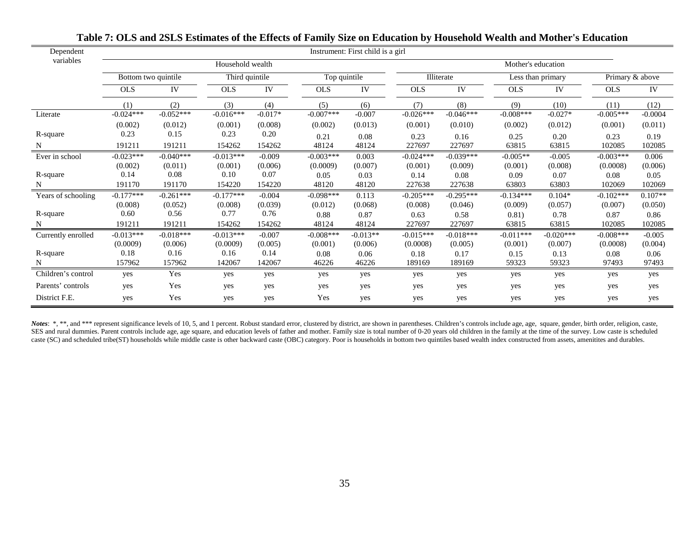| Dependent          | Instrument: First child is a girl     |             |             |           |                            |            |                    |                   |             |             |                 |           |  |
|--------------------|---------------------------------------|-------------|-------------|-----------|----------------------------|------------|--------------------|-------------------|-------------|-------------|-----------------|-----------|--|
| variables          | Household wealth                      |             |             |           |                            |            | Mother's education |                   |             |             |                 |           |  |
|                    | Bottom two quintile<br>Third quintile |             |             |           | Top quintile<br>Illiterate |            |                    | Less than primary |             |             | Primary & above |           |  |
|                    | <b>OLS</b>                            | IV          | <b>OLS</b>  | IV        | <b>OLS</b>                 | IV         | <b>OLS</b>         | IV                | <b>OLS</b>  | IV          | <b>OLS</b>      | IV        |  |
|                    | (1)                                   | (2)         | (3)         | (4)       | (5)                        | (6)        | (7)                | (8)               | (9)         | (10)        | (11)            | (12)      |  |
| Literate           | $-0.024***$                           | $-0.052***$ | $-0.016***$ | $-0.017*$ | $-0.007***$                | $-0.007$   | $-0.026***$        | $-0.046***$       | $-0.008***$ | $-0.027*$   | $-0.005***$     | $-0.0004$ |  |
|                    | (0.002)                               | (0.012)     | (0.001)     | (0.008)   | (0.002)                    | (0.013)    | (0.001)            | (0.010)           | (0.002)     | (0.012)     | (0.001)         | (0.011)   |  |
| R-square           | 0.23                                  | 0.15        | 0.23        | 0.20      | 0.21                       | 0.08       | 0.23               | 0.16              | 0.25        | 0.20        | 0.23            | 0.19      |  |
| N                  | 191211                                | 191211      | 154262      | 154262    | 48124                      | 48124      | 227697             | 227697            | 63815       | 63815       | 102085          | 102085    |  |
| Ever in school     | $-0.023***$                           | $-0.040***$ | $-0.013***$ | $-0.009$  | $-0.003***$                | 0.003      | $-0.024***$        | $-0.039***$       | $-0.005**$  | $-0.005$    | $-0.003***$     | 0.006     |  |
|                    | (0.002)                               | (0.011)     | (0.001)     | (0.006)   | (0.0009)                   | (0.007)    | (0.001)            | (0.009)           | (0.001)     | (0.008)     | (0.0008)        | (0.006)   |  |
| R-square           | 0.14                                  | 0.08        | 0.10        | 0.07      | 0.05                       | 0.03       | 0.14               | 0.08              | 0.09        | 0.07        | 0.08            | 0.05      |  |
| N                  | 191170                                | 191170      | 154220      | 154220    | 48120                      | 48120      | 227638             | 227638            | 63803       | 63803       | 102069          | 102069    |  |
| Years of schooling | $-0.177***$                           | $-0.261***$ | $-0.177***$ | $-0.004$  | $-0.098***$                | 0.113      | $-0.205***$        | $-0.295***$       | $-0.134***$ | $0.104*$    | $-0.102***$     | $0.107**$ |  |
|                    | (0.008)                               | (0.052)     | (0.008)     | (0.039)   | (0.012)                    | (0.068)    | (0.008)            | (0.046)           | (0.009)     | (0.057)     | (0.007)         | (0.050)   |  |
| R-square           | 0.60                                  | 0.56        | 0.77        | 0.76      | 0.88                       | 0.87       | 0.63               | 0.58              | 0.81)       | 0.78        | 0.87            | 0.86      |  |
|                    | 191211                                | 191211      | 154262      | 154262    | 48124                      | 48124      | 227697             | 227697            | 63815       | 63815       | 102085          | 102085    |  |
| Currently enrolled | $-0.013***$                           | $-0.018***$ | $-0.013***$ | $-0.007$  | $-0.008***$                | $-0.013**$ | $-0.015***$        | $-0.018***$       | $-0.011***$ | $-0.020***$ | $-0.008***$     | $-0.005$  |  |
|                    | (0.0009)                              | (0.006)     | (0.0009)    | (0.005)   | (0.001)                    | (0.006)    | (0.0008)           | (0.005)           | (0.001)     | (0.007)     | (0.0008)        | (0.004)   |  |
| R-square           | 0.18                                  | 0.16        | 0.16        | 0.14      | 0.08                       | 0.06       | 0.18               | 0.17              | 0.15        | 0.13        | 0.08            | 0.06      |  |
| N                  | 157962                                | 157962      | 142067      | 142067    | 46226                      | 46226      | 189169             | 189169            | 59323       | 59323       | 97493           | 97493     |  |
| Children's control | yes                                   | Yes         | yes         | yes       | yes                        | yes        | yes                | yes               | yes         | yes         | yes             | yes       |  |
| Parents' controls  | yes                                   | Yes         | yes         | yes       | yes                        | yes        | yes                | yes               | yes         | yes         | yes             | yes       |  |
| District F.E.      | yes                                   | Yes         | yes         | yes       | Yes                        | yes        | yes                | yes               | yes         | yes         | yes             | yes       |  |

Notes: \*, \*\*, and \*\*\* represent significance levels of 10, 5, and 1 percent. Robust standard error, clustered by district, are shown in parentheses. Children's controls include age, age, square, gender, birth order, religi SES and rural dummies. Parent controls include age, age square, and education levels of father and mother. Family size is total number of 0-20 years old children in the family at the time of the survey. Low caste is schedu caste (SC) and scheduled tribe(ST) households while middle caste is other backward caste (OBC) category. Poor is households in bottom two quintiles based wealth index constructed from assets, amenitites and durables.